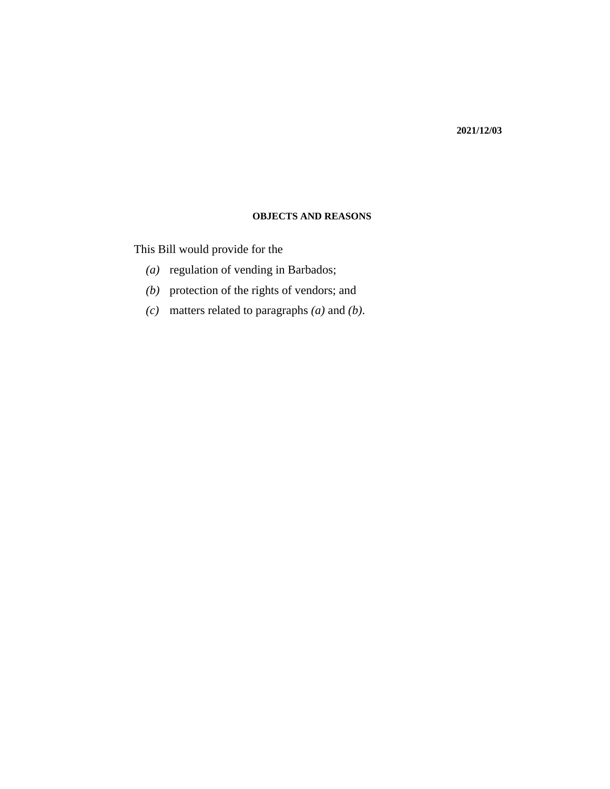#### **2021/12/03**

#### **OBJECTS AND REASONS**

This Bill would provide for the

- (a) regulation of vending in Barbados;
- (b) protection of the rights of vendors; and
- matters related to paragraphs *(a)* and *(b)*. *(c)*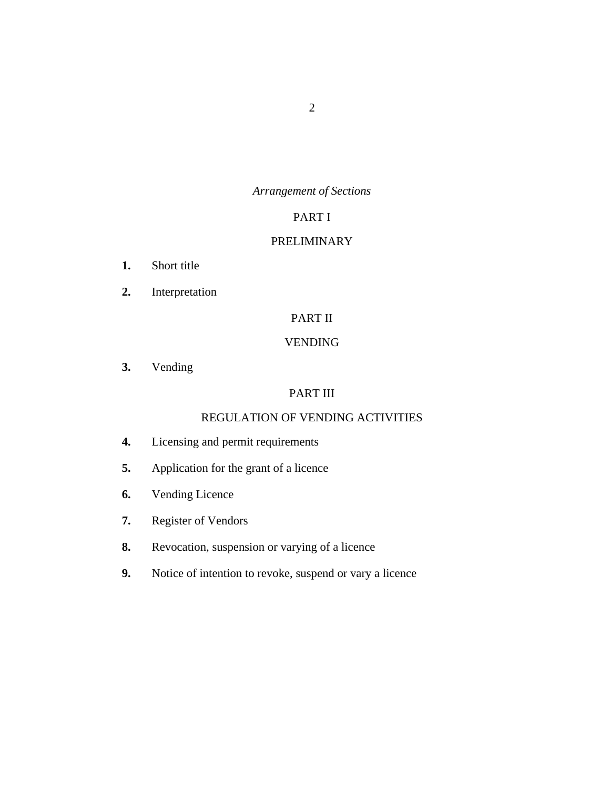# *Arrangement of Sections*

# PART I

## [PRELIMINARY](#page-7-0)

- [Short title](#page-7-0) **1.**
- [Interpretation](#page-7-0) **2.**

# PART II

# [VENDING](#page-10-0)

[Vending](#page-10-0) **3.**

# PART III

# [REGULATION OF VENDING ACTIVITIES](#page-11-0)

- [Licensing and permit requirements](#page-11-0) **4.**
- [Application for the grant of a licence](#page-12-0) **5.**
- [Vending Licence](#page-14-0) **6.**
- [Register of Vendors](#page-16-0) **7.**
- [Revocation, suspension or varying of a licence](#page-17-0) **8.**
- [Notice of intention to revoke, suspend or vary a licence](#page-18-0) **9.**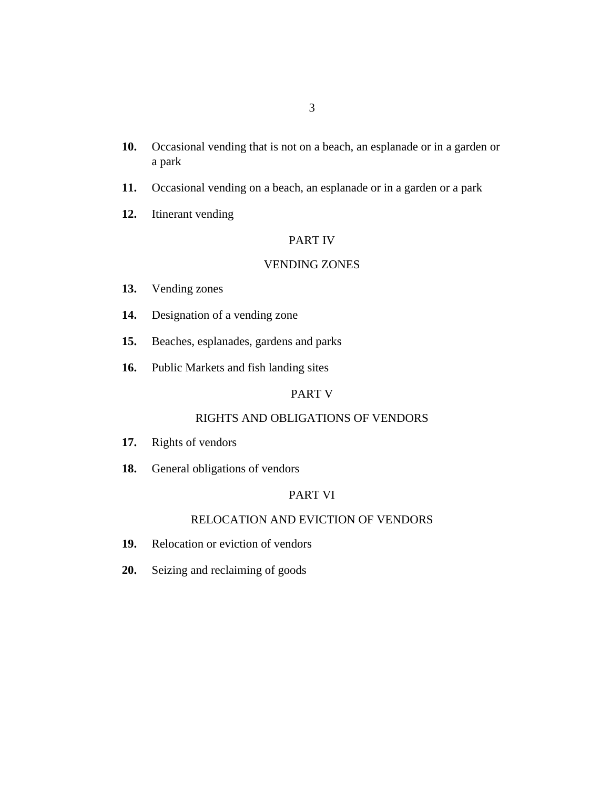- [Occasional vending that is not on a beach, an esplanade or in a garden or](#page-19-0) a park **10.**
- [Occasional vending on a beach, an esplanade or in a garden or a park](#page-20-0) **11.**
- [Itinerant vending](#page-21-0) **12.**

#### PART IV

## [VENDING ZONES](#page-22-0)

- [Vending zones](#page-22-0) **13.**
- [Designation of a vending zone](#page-23-0) **14.**
- [Beaches, esplanades, gardens and parks](#page-23-0) **15.**
- [Public Markets and fish landing sites](#page-23-0) **16.**

# PART V

## [RIGHTS AND OBLIGATIONS OF VENDORS](#page-24-0)

- [Rights of vendors](#page-24-0) **17.**
- [General obligations of vendors](#page-25-0) **18.**

# PART VI

## [RELOCATION AND EVICTION OF VENDORS](#page-27-0)

- [Relocation or eviction of vendors](#page-27-0) **19.**
- [Seizing and reclaiming of goods](#page-28-0) **20.**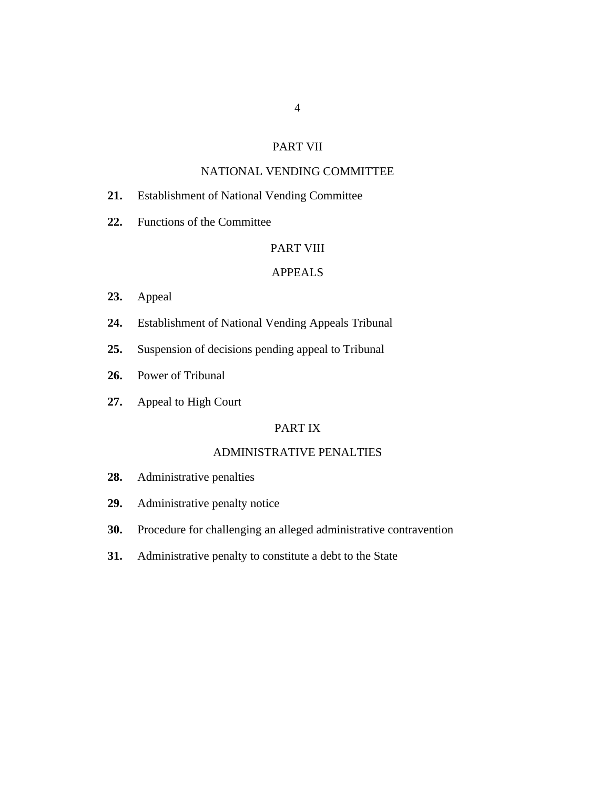## PART VII

# [NATIONAL VENDING COMMITTEE](#page-29-0)

- [Establishment of National Vending Committee](#page-29-0) **21.**
- [Functions of the Committee](#page-30-0) **22.**

# [PART VIII](#page-31-0)

## APPEALS

- [Appeal](#page-31-0) **23.**
- [Establishment of National Vending Appeals Tribunal](#page-32-0) **24.**
- [Suspension of decisions pending appeal to Tribunal](#page-33-0) **25.**
- [Power of Tribunal](#page-33-0) **26.**
- [Appeal to High Court](#page-35-0) **27.**

# PART IX

# [ADMINISTRATIVE PENALTIES](#page-35-0)

- [Administrative penalties](#page-35-0) **28.**
- [Administrative penalty notice](#page-35-0) **29.**
- [Procedure for challenging an alleged administrative contravention](#page-36-0) **30.**
- [Administrative penalty to constitute a debt to the State](#page-36-0) **31.**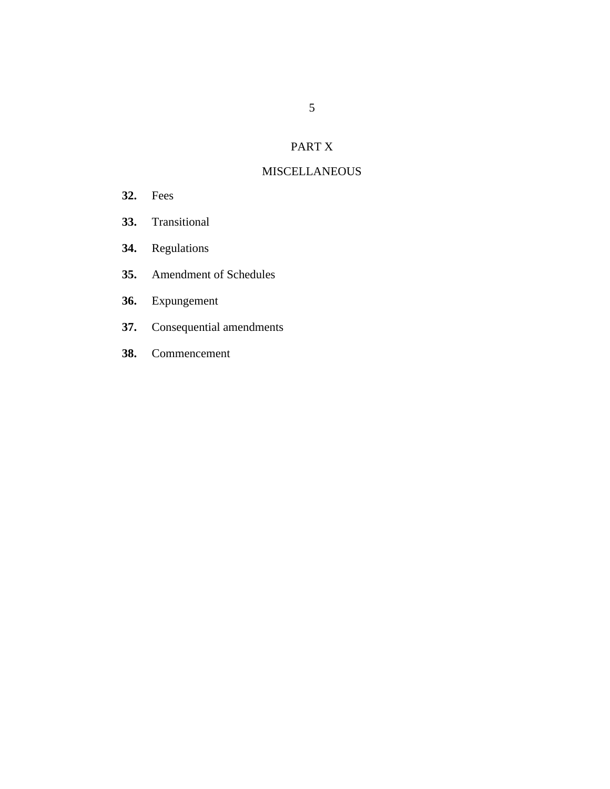# PART X

# **[MISCELLANEOUS](#page-36-0)**

- [Fees](#page-36-0) **32.**
- [Transitional](#page-37-0) **33.**
- [Regulations](#page-37-0) **34.**
- [Amendment of Schedules](#page-37-0) **35.**
- [Expungement](#page-37-0) **36.**
- [Consequential amendments](#page-38-0) **37.**
- [Commencement](#page-38-0) **38.**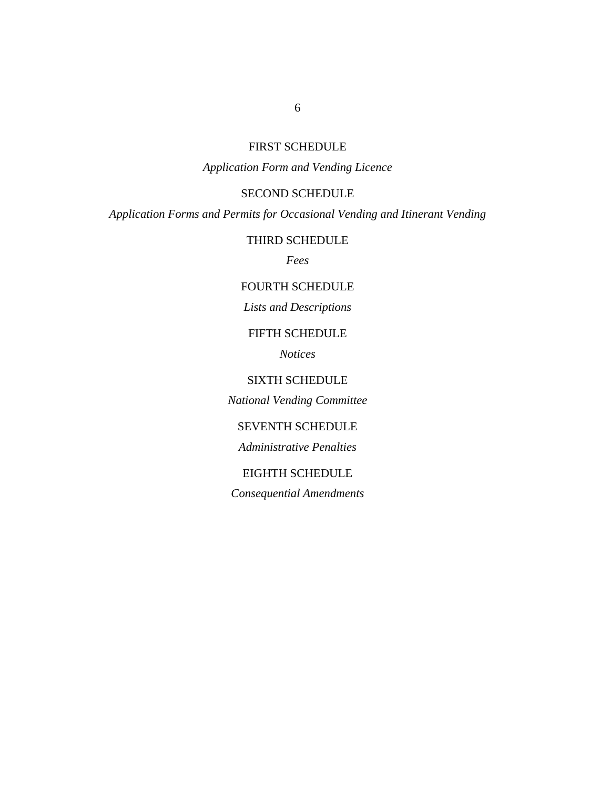# FIRST SCHEDULE

# *Application Form and Vending Licence*

## SECOND SCHEDULE

*Application Forms and Permits for Occasional Vending and Itinerant Vending*

[THIRD SCHEDULE](#page-60-0)

*Fees*

# [FOURTH SCHEDULE](#page-61-0)

# *Lists and Descriptions*

## FIFTH SCHEDULE

*Notices*

# SIXTH SCHEDULE

*[National Vending Committee](#page-70-0)*

## SEVENTH SCHEDULE

*Administrative Penalties*

## EIGHTH SCHEDULE

*Consequential Amendments*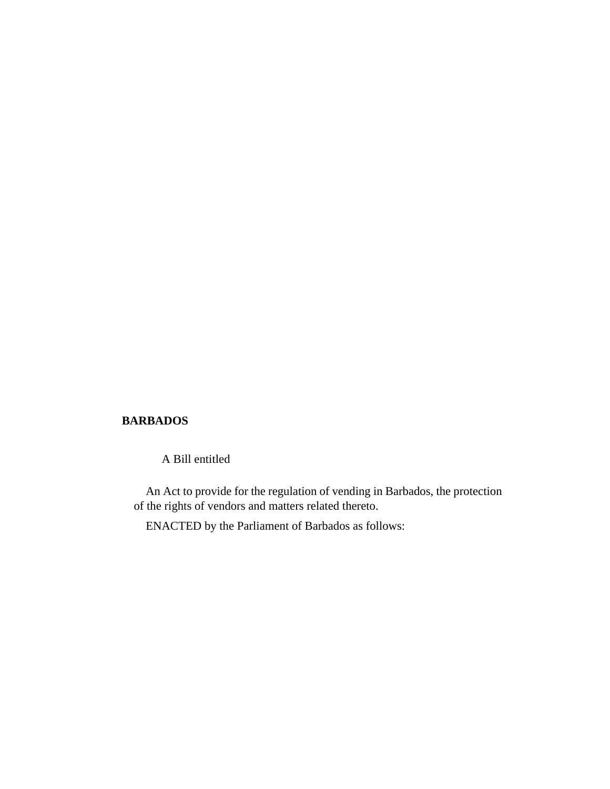## **BARBADOS**

A Bill entitled

An Act to provide for the regulation of vending in Barbados, the protection of the rights of vendors and matters related thereto.

ENACTED by the Parliament of Barbados as follows: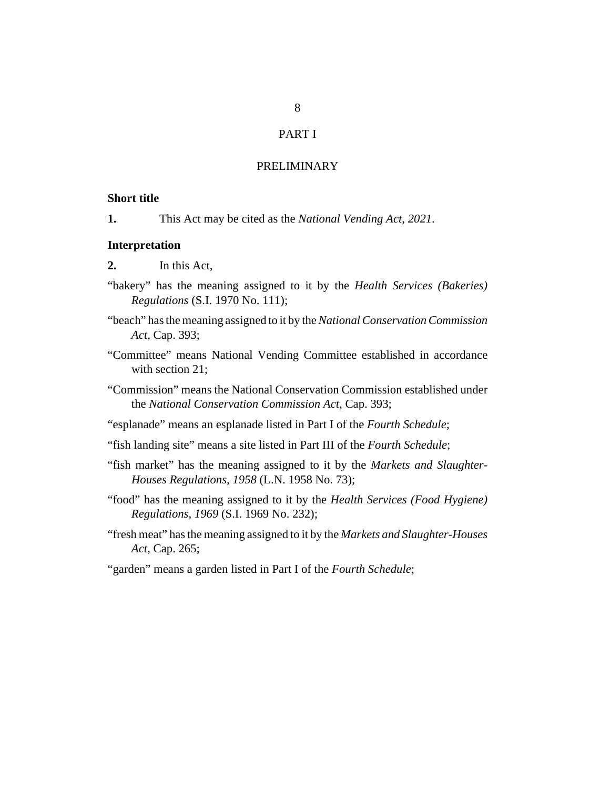# PART I

#### PRELIMINARY

## <span id="page-7-0"></span>**Short title**

This Act may be cited as the *National Vending Act, 2021*. **1.**

#### **Interpretation**

- In this Act, **2.**
- "bakery" has the meaning assigned to it by the *[Health Services \(Bakeries\)](http://barbadosparliament-laws.com/en/showdoc/cr/S.I. 1970 No. 111) Regulations* [\(S.I. 1970 No. 111\);](http://barbadosparliament-laws.com/en/showdoc/cr/S.I. 1970 No. 111)
- "beach" has the meaning assigned to it by the *[National Conservation Commission](http://barbadosparliament-laws.com/en/showdoc/cs/393) Act*[, Cap. 393](http://barbadosparliament-laws.com/en/showdoc/cs/393);
- "Committee" means National Vending Committee established in accordance with section 21:
- "Commission" means the National Conservation Commission established under the *[National Conservation Commission Act](http://barbadosparliament-laws.com/en/showdoc/cs/393)*, Cap. 393;
- "esplanade" means an esplanade listed in Part I of the *Fourth Schedule*;
- "fish landing site" means a site listed in Part III of the *Fourth Schedule*;
- "fish market" has the meaning assigned to it by the *[Markets and Slaughter-](http://barbadosparliament-laws.com/en/showdoc/cr/L.N. 1958 No. 73)[Houses Regulations, 1958](http://barbadosparliament-laws.com/en/showdoc/cr/L.N. 1958 No. 73)* (L.N. 1958 No. 73);
- "food" has the meaning assigned to it by the *[Health Services \(Food Hygiene\)](http://barbadosparliament-laws.com/en/showdoc/cr/1969/232) Regulations, 1969* [\(S.I. 1969 No. 232\);](http://barbadosparliament-laws.com/en/showdoc/cr/1969/232)
- "fresh meat" has the meaning assigned to it by the *[Markets and Slaughter-Houses](http://barbadosparliament-laws.com/en/showdoc/cs/265) Act*[, Cap. 265](http://barbadosparliament-laws.com/en/showdoc/cs/265);
- "garden" means a garden listed in Part I of the *Fourth Schedule*;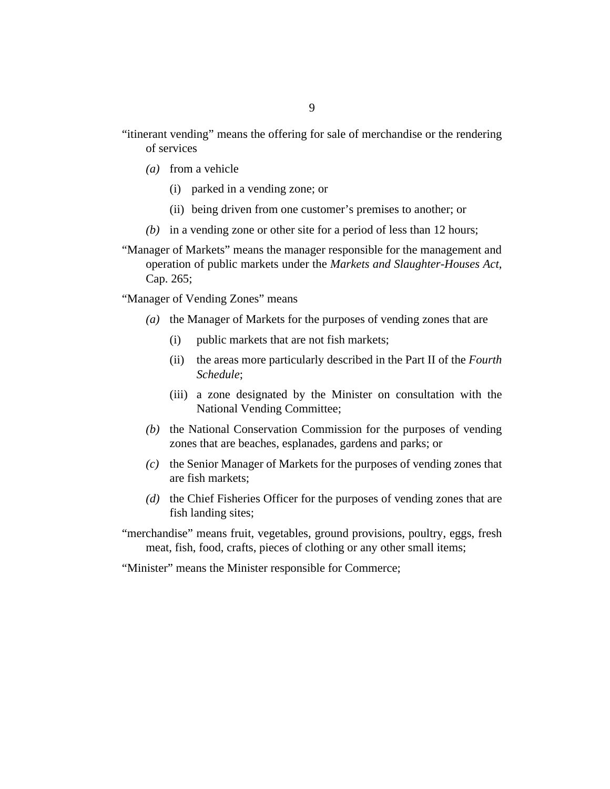- (a) from a vehicle
	- (i) parked in a vending zone; or
	- (ii) being driven from one customer's premises to another; or
- (b) in a vending zone or other site for a period of less than 12 hours;
- "Manager of Markets" means the manager responsible for the management and operation of public markets under the *[Markets and Slaughter-Houses Act](http://barbadosparliament-laws.com/en/showdoc/cs/265)*, [Cap. 265;](http://barbadosparliament-laws.com/en/showdoc/cs/265)

"Manager of Vending Zones" means

- (a) the Manager of Markets for the purposes of vending zones that are
	- public markets that are not fish markets; (i)
	- (ii) the areas more particularly described in the Part II of the *Fourth Schedule*;
	- (iii) a zone designated by the Minister on consultation with the National Vending Committee;
- (b) the National Conservation Commission for the purposes of vending zones that are beaches, esplanades, gardens and parks; or
- (c) the Senior Manager of Markets for the purposes of vending zones that are fish markets;
- (d) the Chief Fisheries Officer for the purposes of vending zones that are fish landing sites;

"merchandise" means fruit, vegetables, ground provisions, poultry, eggs, fresh meat, fish, food, crafts, pieces of clothing or any other small items;

"Minister" means the Minister responsible for Commerce;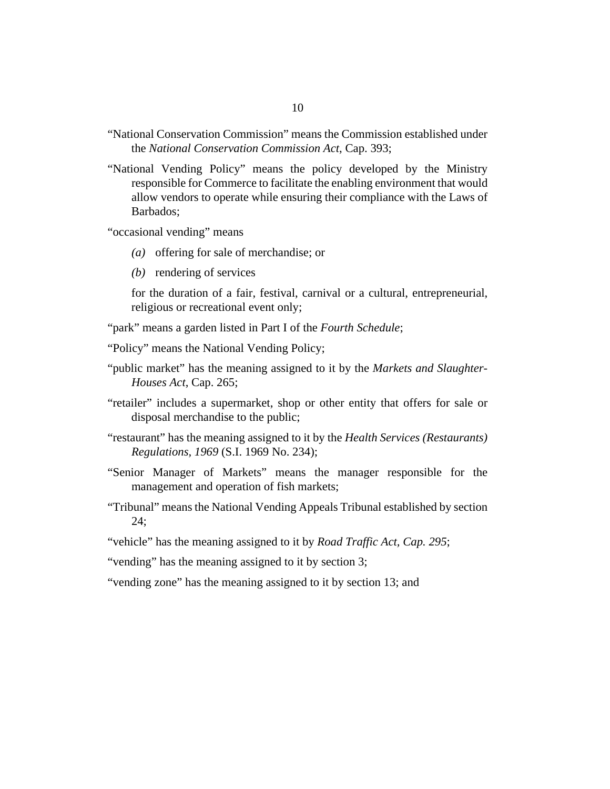- "National Conservation Commission" means the Commission established under the *[National Conservation Commission Act](http://barbadosparliament-laws.com/en/showdoc/cs/393)*, Cap. 393;
- "National Vending Policy" means the policy developed by the Ministry responsible for Commerce to facilitate the enabling environment that would allow vendors to operate while ensuring their compliance with the Laws of Barbados;

"occasional vending" means

- (a) offering for sale of merchandise; or
- (b) rendering of services

for the duration of a fair, festival, carnival or a cultural, entrepreneurial, religious or recreational event only;

- "park" means a garden listed in Part I of the *Fourth Schedule*;
- "Policy" means the National Vending Policy;
- "public market" has the meaning assigned to it by the *[Markets and Slaughter-](http://barbadosparliament-laws.com/en/showdoc/cs/265)[Houses Act](http://barbadosparliament-laws.com/en/showdoc/cs/265)*, Cap. 265;
- "retailer" includes a supermarket, shop or other entity that offers for sale or disposal merchandise to the public;
- "restaurant" has the meaning assigned to it by the *[Health Services \(Restaurants\)](http://barbadosparliament-laws.com/en/showdoc/cr/S.I. 1969 No. 234) Regulations, 1969* [\(S.I. 1969 No. 234\);](http://barbadosparliament-laws.com/en/showdoc/cr/S.I. 1969 No. 234)
- "Senior Manager of Markets" means the manager responsible for the management and operation of fish markets;
- "Tribunal" means the National Vending Appeals Tribunal established by section 24;
- "vehicle" has the meaning assigned to it by *[Road Traffic Act, Cap. 295](http://barbadosparliament-laws.com/en/showdoc/cs/295)*;

"vending" has the meaning assigned to it by section 3;

"vending zone" has the meaning assigned to it by section 13; and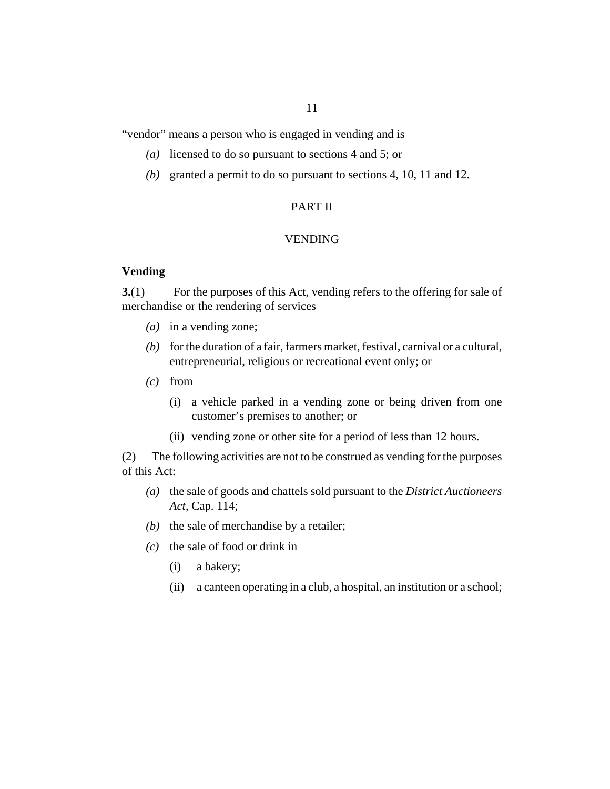<span id="page-10-0"></span>"vendor" means a person who is engaged in vending and is

- (a) licensed to do so pursuant to sections 4 and 5; or
- (b) granted a permit to do so pursuant to sections 4, 10, 11 and 12.

## PART II

## VENDING

## **Vending**

For the purposes of this Act, vending refers to the offering for sale of merchandise or the rendering of services **3.**(1)

- (a) in a vending zone;
- $(b)$  for the duration of a fair, farmers market, festival, carnival or a cultural, entrepreneurial, religious or recreational event only; or
- from *(c)*
	- (i) a vehicle parked in a vending zone or being driven from one customer's premises to another; or
	- (ii) vending zone or other site for a period of less than 12 hours.

The following activities are not to be construed as vending for the purposes of this Act: (2)

- the sale of goods and chattels sold pursuant to the *[District Auctioneers](http://barbadosparliament-laws.com/en/showdoc/cs/114) (a) Act*[, Cap. 114;](http://barbadosparliament-laws.com/en/showdoc/cs/114)
- $(b)$  the sale of merchandise by a retailer;
- $(c)$  the sale of food or drink in
	- a bakery; (i)
	- a canteen operating in a club, a hospital, an institution or a school; (ii)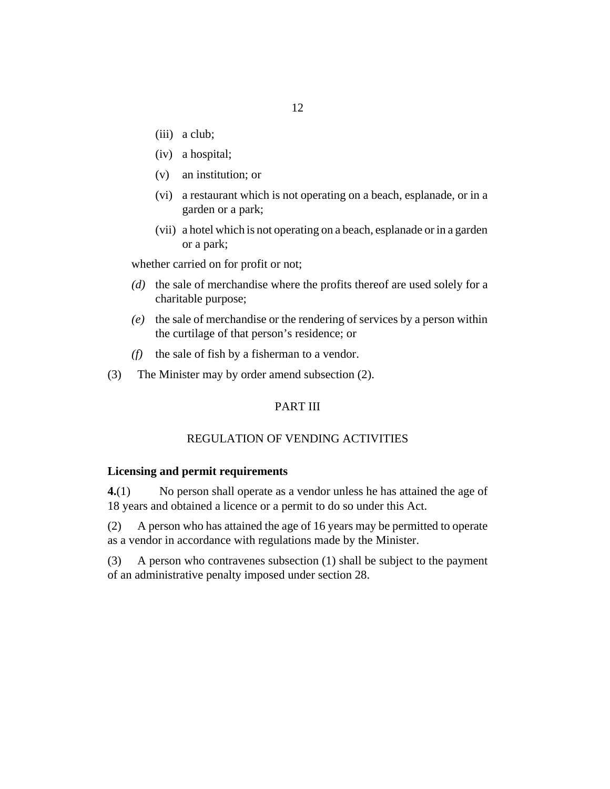- <span id="page-11-0"></span>(iii) a club;
- a hospital; (iv)
- an institution; or (v)
- (vi) a restaurant which is not operating on a beach, esplanade, or in a garden or a park;
- (vii) a hotel which is not operating on a beach, esplanade or in a garden or a park;

whether carried on for profit or not;

- (d) the sale of merchandise where the profits thereof are used solely for a charitable purpose;
- the sale of merchandise or the rendering of services by a person within *(e)* the curtilage of that person's residence; or
- the sale of fish by a fisherman to a vendor. *(f)*
- The Minister may by order amend subsection (2). (3)

## PART III

#### REGULATION OF VENDING ACTIVITIES

#### **Licensing and permit requirements**

No person shall operate as a vendor unless he has attained the age of 18 years and obtained a licence or a permit to do so under this Act. **4.**(1)

A person who has attained the age of 16 years may be permitted to operate as a vendor in accordance with regulations made by the Minister. (2)

A person who contravenes subsection (1) shall be subject to the payment of an administrative penalty imposed under section 28. (3)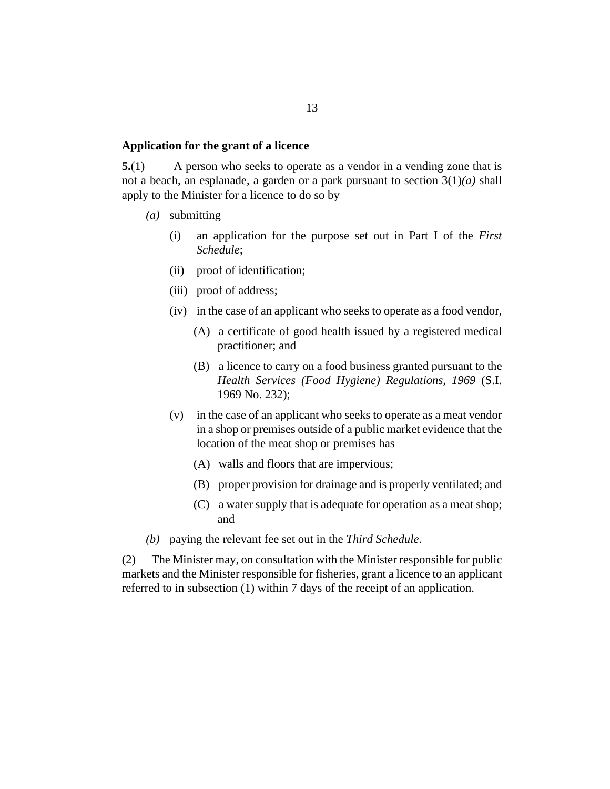#### <span id="page-12-0"></span>**Application for the grant of a licence**

A person who seeks to operate as a vendor in a vending zone that is not a beach, an esplanade, a garden or a park pursuant to section 3(1)*(a)* shall apply to the Minister for a licence to do so by **5.**(1)

- submitting *(a)*
	- an application for the purpose set out in Part I of the *First Schedule*; (i)
	- proof of identification; (ii)
	- (iii) proof of address;
	- (iv) in the case of an applicant who seeks to operate as a food vendor,
		- (A) a certificate of good health issued by a registered medical practitioner; and
		- (B) a licence to carry on a food business granted pursuant to the *[Health Services \(Food Hygiene\) Regulations, 1969](http://barbadosparliament-laws.com/en/showdoc/cr/S.I. 1969 No. 232)* (S.I. [1969 No. 232\)](http://barbadosparliament-laws.com/en/showdoc/cr/S.I. 1969 No. 232);
	- (v) in the case of an applicant who seeks to operate as a meat vendor in a shop or premises outside of a public market evidence that the location of the meat shop or premises has
		- walls and floors that are impervious; (A)
		- (B) proper provision for drainage and is properly ventilated; and
		- a water supply that is adequate for operation as a meat shop; (C) and
- (b) paying the relevant fee set out in the *Third Schedule*.

The Minister may, on consultation with the Minister responsible for public markets and the Minister responsible for fisheries, grant a licence to an applicant referred to in subsection (1) within 7 days of the receipt of an application. (2)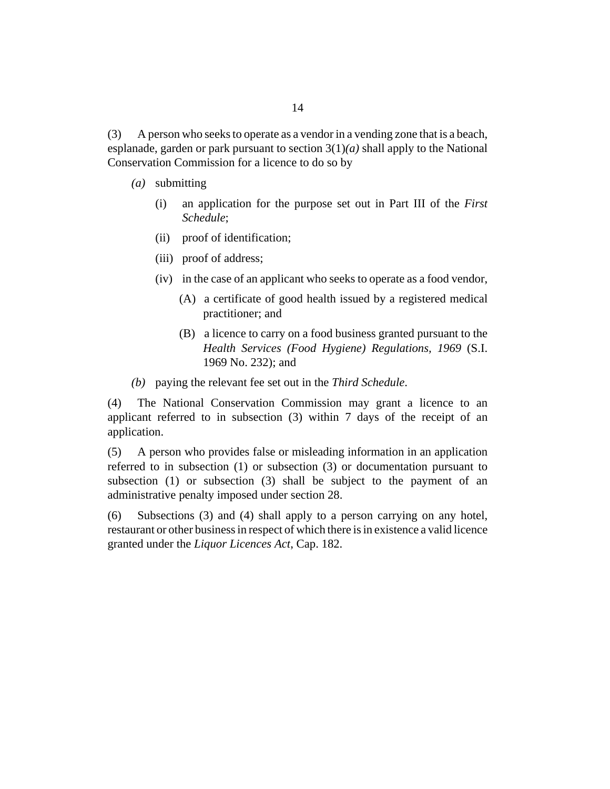A person who seeks to operate as a vendor in a vending zone that is a beach, esplanade, garden or park pursuant to section  $3(1)(a)$  shall apply to the National Conservation Commission for a licence to do so by (3)

- submitting *(a)*
	- an application for the purpose set out in Part III of the *First Schedule*; (i)
	- proof of identification; (ii)
	- (iii) proof of address;
	- (iv) in the case of an applicant who seeks to operate as a food vendor,
		- (A) a certificate of good health issued by a registered medical practitioner; and
		- (B) a licence to carry on a food business granted pursuant to the *[Health Services \(Food Hygiene\) Regulations, 1969](http://barbadosparliament-laws.com/en/showdoc/cr/S.I. 1969 No. 232)* (S.I. [1969 No. 232\);](http://barbadosparliament-laws.com/en/showdoc/cr/S.I. 1969 No. 232) and
- (b) paying the relevant fee set out in the *Third Schedule*.

The National Conservation Commission may grant a licence to an applicant referred to in subsection (3) within 7 days of the receipt of an application. (4)

A person who provides false or misleading information in an application referred to in subsection (1) or subsection (3) or documentation pursuant to subsection (1) or subsection (3) shall be subject to the payment of an administrative penalty imposed under section 28. (5)

Subsections (3) and (4) shall apply to a person carrying on any hotel, restaurant or other business in respect of which there is in existence a valid licence granted under the *[Liquor Licences Act](http://barbadosparliament-laws.com/en/showdoc/cs/182)*, Cap. 182. (6)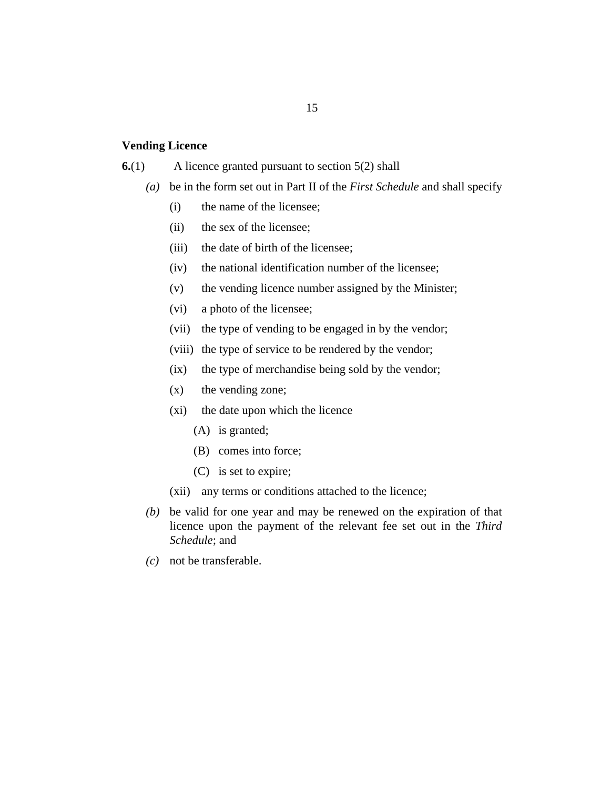#### <span id="page-14-0"></span>**Vending Licence**

#### A licence granted pursuant to section 5(2) shall **6.**(1)

- be in the form set out in Part II of the *First Schedule* and shall specify *(a)*
	- the name of the licensee; (i)
	- the sex of the licensee;  $(ii)$
	- the date of birth of the licensee;  $(iii)$
	- the national identification number of the licensee;  $(iv)$
	- the vending licence number assigned by the Minister; (v)
	- a photo of the licensee; (vi)
	- the type of vending to be engaged in by the vendor; (vii)
	- (viii) the type of service to be rendered by the vendor;
	- the type of merchandise being sold by the vendor;  $(ix)$
	- the vending zone; (x)
	- (xi) the date upon which the licence
		- (A) is granted;
		- (B) comes into force;
		- (C) is set to expire;
	- (xii) any terms or conditions attached to the licence;
- be valid for one year and may be renewed on the expiration of that *(b)* licence upon the payment of the relevant fee set out in the *Third Schedule*; and
- not be transferable. *(c)*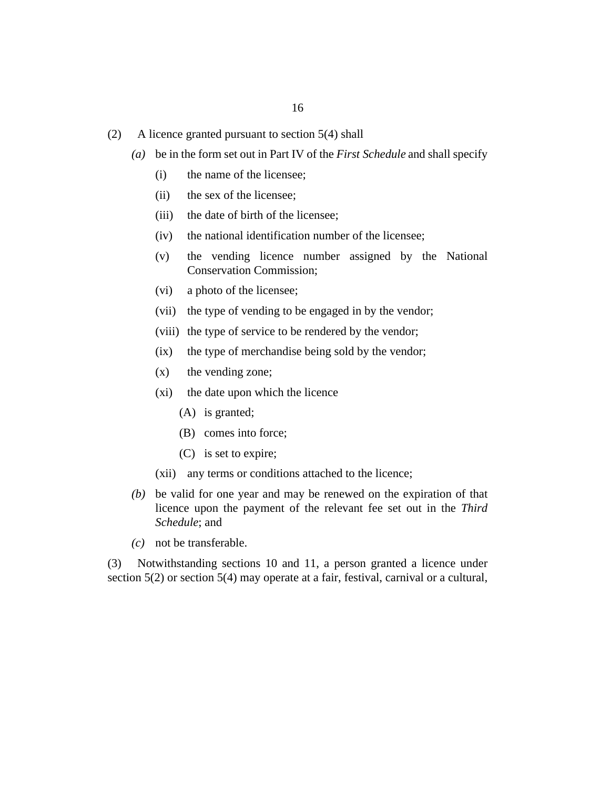- A licence granted pursuant to section 5(4) shall (2)
	- be in the form set out in Part IV of the *First Schedule* and shall specify *(a)*
		- the name of the licensee; (i)
		- the sex of the licensee; (ii)
		- the date of birth of the licensee; (iii)
		- the national identification number of the licensee; (iv)
		- the vending licence number assigned by the National Conservation Commission; (v)
		- a photo of the licensee; (vi)
		- (vii) the type of vending to be engaged in by the vendor;
		- (viii) the type of service to be rendered by the vendor;
		- the type of merchandise being sold by the vendor;  $(ix)$
		- the vending zone;  $(x)$
		- (xi) the date upon which the licence
			- (A) is granted;
			- (B) comes into force;
			- (C) is set to expire;
		- (xii) any terms or conditions attached to the licence;
	- be valid for one year and may be renewed on the expiration of that *(b)* licence upon the payment of the relevant fee set out in the *Third Schedule*; and
	- not be transferable. *(c)*

Notwithstanding sections 10 and 11, a person granted a licence under section 5(2) or section 5(4) may operate at a fair, festival, carnival or a cultural, (3)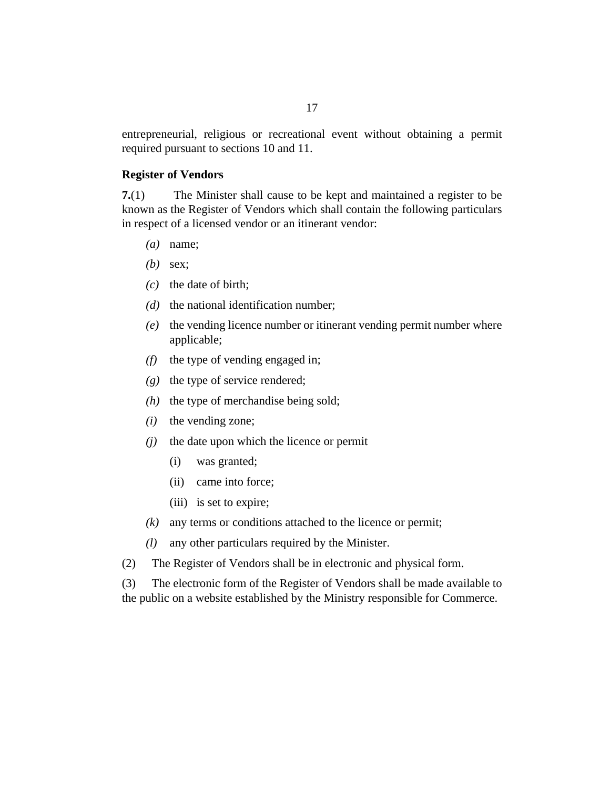<span id="page-16-0"></span>entrepreneurial, religious or recreational event without obtaining a permit required pursuant to sections 10 and 11.

#### **Register of Vendors**

The Minister shall cause to be kept and maintained a register to be known as the Register of Vendors which shall contain the following particulars in respect of a licensed vendor or an itinerant vendor: **7.**(1)

- name; *(a)*
- sex; *(b)*
- $(c)$  the date of birth;
- $(d)$  the national identification number;
- (e) the vending licence number or itinerant vending permit number where applicable;
- $(f)$  the type of vending engaged in;
- (g) the type of service rendered;
- $(h)$  the type of merchandise being sold;
- $(i)$  the vending zone;
- $(i)$  the date upon which the licence or permit
	- was granted; (i)
	- (ii) came into force;
	- (iii) is set to expire;
- any terms or conditions attached to the licence or permit; *(k)*
- any other particulars required by the Minister. *(l)*
- The Register of Vendors shall be in electronic and physical form. (2)

The electronic form of the Register of Vendors shall be made available to the public on a website established by the Ministry responsible for Commerce. (3)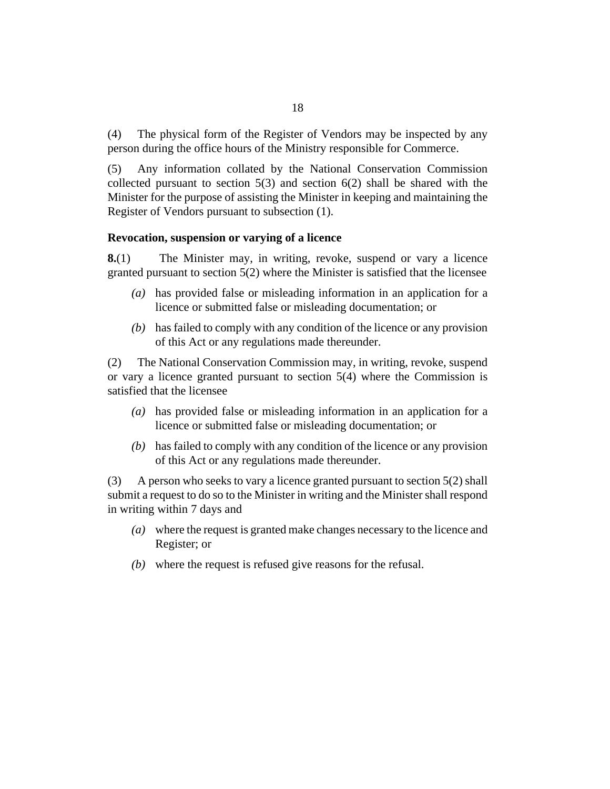<span id="page-17-0"></span>The physical form of the Register of Vendors may be inspected by any person during the office hours of the Ministry responsible for Commerce. (4)

Any information collated by the National Conservation Commission collected pursuant to section  $5(3)$  and section  $6(2)$  shall be shared with the Minister for the purpose of assisting the Minister in keeping and maintaining the Register of Vendors pursuant to subsection (1). (5)

## **Revocation, suspension or varying of a licence**

The Minister may, in writing, revoke, suspend or vary a licence granted pursuant to section 5(2) where the Minister is satisfied that the licensee **8.**(1)

- has provided false or misleading information in an application for a *(a)* licence or submitted false or misleading documentation; or
- (b) has failed to comply with any condition of the licence or any provision of this Act or any regulations made thereunder.

The National Conservation Commission may, in writing, revoke, suspend or vary a licence granted pursuant to section 5(4) where the Commission is satisfied that the licensee (2)

- has provided false or misleading information in an application for a *(a)* licence or submitted false or misleading documentation; or
- (b) has failed to comply with any condition of the licence or any provision of this Act or any regulations made thereunder.

A person who seeks to vary a licence granted pursuant to section 5(2) shall submit a request to do so to the Minister in writing and the Minister shall respond in writing within 7 days and (3)

- where the request is granted make changes necessary to the licence and *(a)* Register; or
- where the request is refused give reasons for the refusal. *(b)*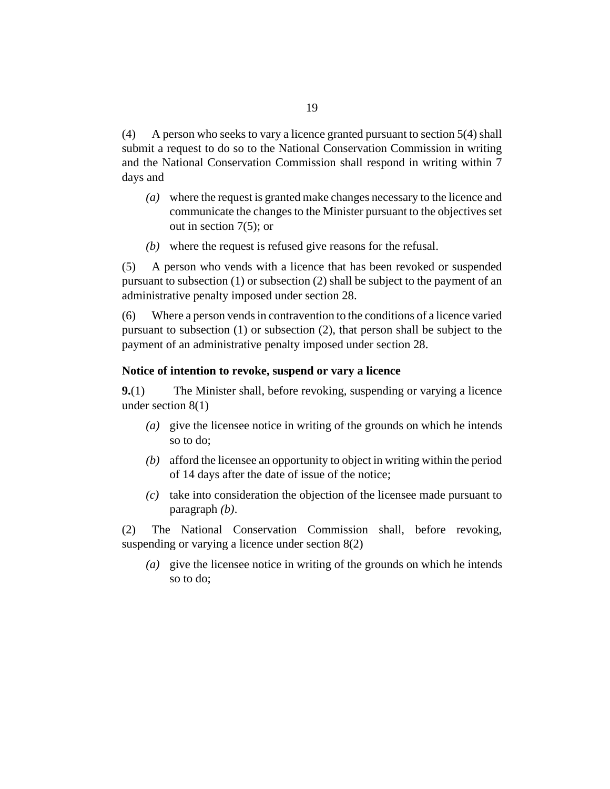<span id="page-18-0"></span>A person who seeks to vary a licence granted pursuant to section 5(4) shall submit a request to do so to the National Conservation Commission in writing and the National Conservation Commission shall respond in writing within 7 days and (4)

- where the request is granted make changes necessary to the licence and *(a)* communicate the changes to the Minister pursuant to the objectives set out in section 7(5); or
- where the request is refused give reasons for the refusal. *(b)*

A person who vends with a licence that has been revoked or suspended pursuant to subsection (1) or subsection (2) shall be subject to the payment of an administrative penalty imposed under section 28. (5)

Where a person vends in contravention to the conditions of a licence varied pursuant to subsection (1) or subsection (2), that person shall be subject to the payment of an administrative penalty imposed under section 28. (6)

#### **Notice of intention to revoke, suspend or vary a licence**

The Minister shall, before revoking, suspending or varying a licence under section 8(1) **9.**(1)

- give the licensee notice in writing of the grounds on which he intends *(a)* so to do;
- afford the licensee an opportunity to object in writing within the period *(b)* of 14 days after the date of issue of the notice;
- take into consideration the objection of the licensee made pursuant to *(c)* paragraph *(b)*.

The National Conservation Commission shall, before revoking, suspending or varying a licence under section 8(2) (2)

give the licensee notice in writing of the grounds on which he intends *(a)* so to do;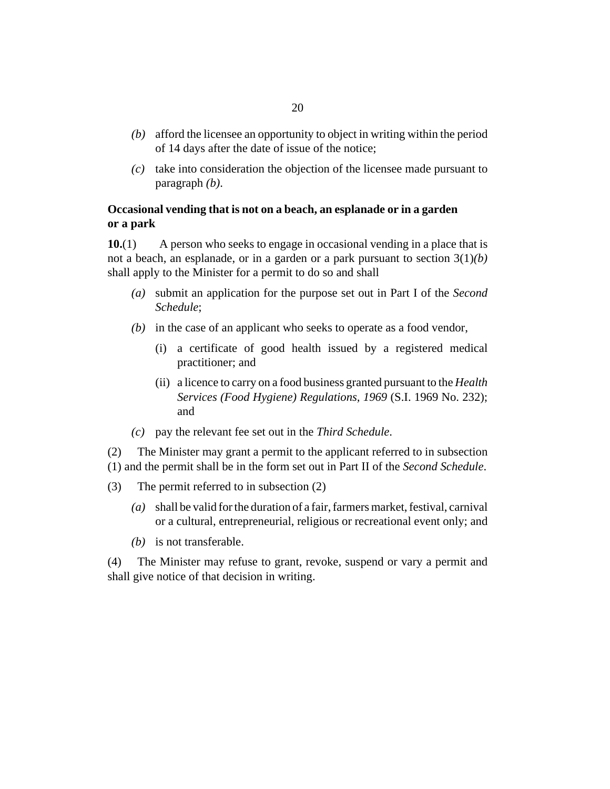- <span id="page-19-0"></span>afford the licensee an opportunity to object in writing within the period *(b)* of 14 days after the date of issue of the notice;
- take into consideration the objection of the licensee made pursuant to *(c)* paragraph *(b)*.

# **Occasional vending that is not on a beach, an esplanade or in a garden or a park**

A person who seeks to engage in occasional vending in a place that is not a beach, an esplanade, or in a garden or a park pursuant to section 3(1)*(b)* shall apply to the Minister for a permit to do so and shall **10.**(1)

- submit an application for the purpose set out in Part I of the *Second (a) Schedule*;
- (b) in the case of an applicant who seeks to operate as a food vendor,
	- a certificate of good health issued by a registered medical (i) practitioner; and
	- a licence to carry on a food business granted pursuant to the *[Health](http://barbadosparliament-laws.com/en/showdoc/cr/S.I. 1969 No. 232)* (ii) *[Services \(Food Hygiene\) Regulations, 1969](http://barbadosparliament-laws.com/en/showdoc/cr/S.I. 1969 No. 232)* (S.I. 1969 No. 232); and
- pay the relevant fee set out in the *Third Schedule*. *(c)*

The Minister may grant a permit to the applicant referred to in subsection (1) and the permit shall be in the form set out in Part II of the *Second Schedule*. (2)

- The permit referred to in subsection (2) (3)
	- shall be valid for the duration of a fair, farmers market, festival, carnival *(a)* or a cultural, entrepreneurial, religious or recreational event only; and
	- (b) is not transferable.

The Minister may refuse to grant, revoke, suspend or vary a permit and shall give notice of that decision in writing. (4)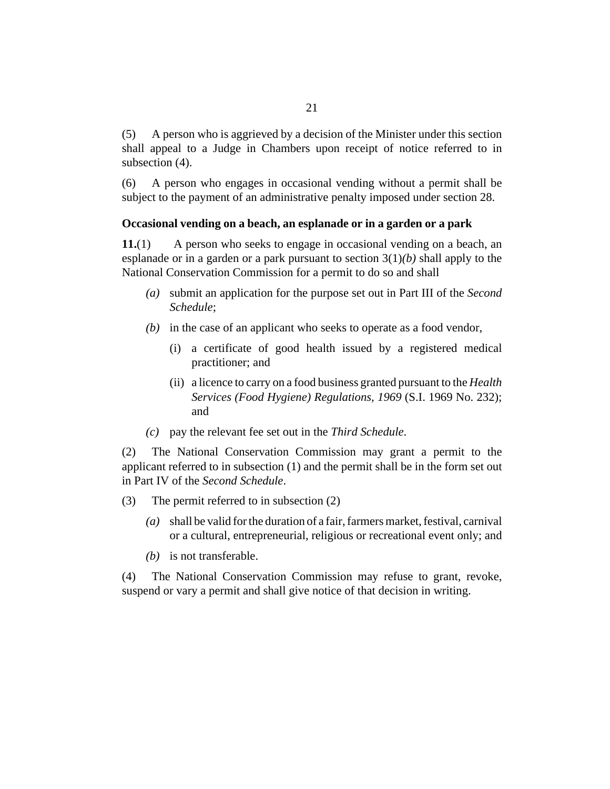<span id="page-20-0"></span>A person who is aggrieved by a decision of the Minister under this section shall appeal to a Judge in Chambers upon receipt of notice referred to in subsection  $(4)$ . (5)

A person who engages in occasional vending without a permit shall be subject to the payment of an administrative penalty imposed under section 28. (6)

#### **Occasional vending on a beach, an esplanade or in a garden or a park**

A person who seeks to engage in occasional vending on a beach, an esplanade or in a garden or a park pursuant to section 3(1)*(b)* shall apply to the National Conservation Commission for a permit to do so and shall **11.**(1)

- submit an application for the purpose set out in Part III of the *Second (a) Schedule*;
- (b) in the case of an applicant who seeks to operate as a food vendor,
	- a certificate of good health issued by a registered medical (i) practitioner; and
	- (ii) a licence to carry on a food business granted pursuant to the *[Health](http://barbadosparliament-laws.com/en/showdoc/cr/S.I. 1969 No. 232) [Services \(Food Hygiene\) Regulations, 1969](http://barbadosparliament-laws.com/en/showdoc/cr/S.I. 1969 No. 232)* (S.I. 1969 No. 232); and
- pay the relevant fee set out in the *Third Schedule*. *(c)*

The National Conservation Commission may grant a permit to the applicant referred to in subsection (1) and the permit shall be in the form set out in Part IV of the *Second Schedule*. (2)

- The permit referred to in subsection (2) (3)
	- shall be valid for the duration of a fair, farmers market, festival, carnival *(a)* or a cultural, entrepreneurial, religious or recreational event only; and
	- (b) is not transferable.

The National Conservation Commission may refuse to grant, revoke, suspend or vary a permit and shall give notice of that decision in writing. (4)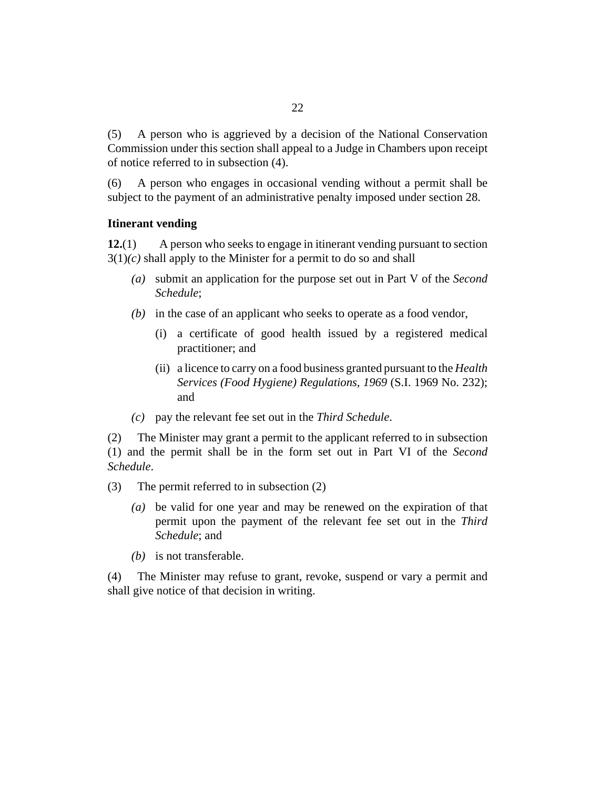<span id="page-21-0"></span>A person who is aggrieved by a decision of the National Conservation Commission under this section shall appeal to a Judge in Chambers upon receipt of notice referred to in subsection (4). (5)

A person who engages in occasional vending without a permit shall be subject to the payment of an administrative penalty imposed under section 28. (6)

## **Itinerant vending**

A person who seeks to engage in itinerant vending pursuant to section  $3(1)(c)$  shall apply to the Minister for a permit to do so and shall **12.**(1)

- submit an application for the purpose set out in Part V of the *Second (a) Schedule*;
- (b) in the case of an applicant who seeks to operate as a food vendor,
	- a certificate of good health issued by a registered medical (i) practitioner; and
	- a licence to carry on a food business granted pursuant to the *[Health](http://barbadosparliament-laws.com/en/showdoc/cr/S.I. 1969 No. 232)* (ii) *[Services \(Food Hygiene\) Regulations, 1969](http://barbadosparliament-laws.com/en/showdoc/cr/S.I. 1969 No. 232)* (S.I. 1969 No. 232); and
- pay the relevant fee set out in the *Third Schedule*. *(c)*

The Minister may grant a permit to the applicant referred to in subsection (1) and the permit shall be in the form set out in Part VI of the *Second Schedule*. (2)

- The permit referred to in subsection (2) (3)
	- be valid for one year and may be renewed on the expiration of that *(a)* permit upon the payment of the relevant fee set out in the *Third Schedule*; and
	- (b) is not transferable.

The Minister may refuse to grant, revoke, suspend or vary a permit and shall give notice of that decision in writing. (4)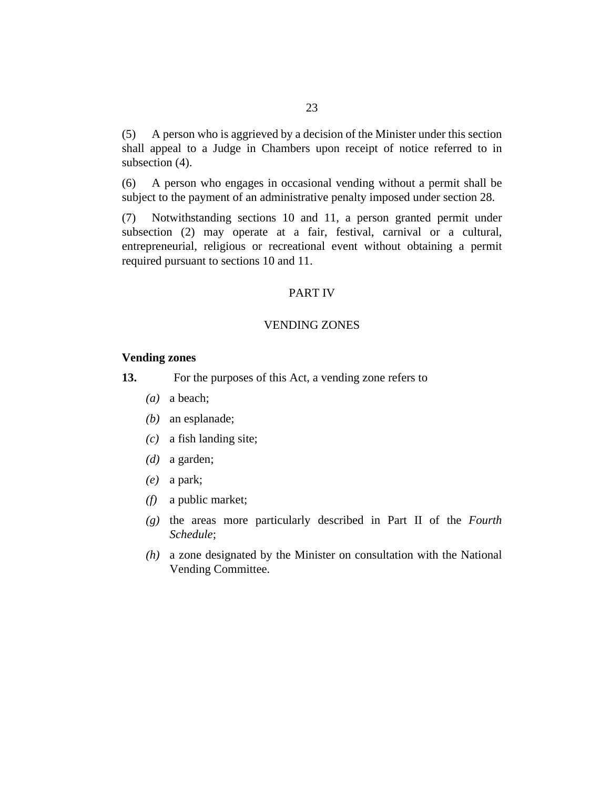<span id="page-22-0"></span>A person who is aggrieved by a decision of the Minister under this section shall appeal to a Judge in Chambers upon receipt of notice referred to in subsection  $(4)$ . (5)

A person who engages in occasional vending without a permit shall be subject to the payment of an administrative penalty imposed under section 28. (6)

Notwithstanding sections 10 and 11, a person granted permit under subsection (2) may operate at a fair, festival, carnival or a cultural, entrepreneurial, religious or recreational event without obtaining a permit required pursuant to sections 10 and 11. (7)

#### PART IV

## VENDING ZONES

#### **Vending zones**

For the purposes of this Act, a vending zone refers to **13.**

- (a) a beach;
- (b) an esplanade;
- a fish landing site; *(c)*
- (*d*) a garden;
- a park; *(e)*
- a public market; *(f)*
- the areas more particularly described in Part II of the *Fourth (g) Schedule*;
- a zone designated by the Minister on consultation with the National *(h)* Vending Committee.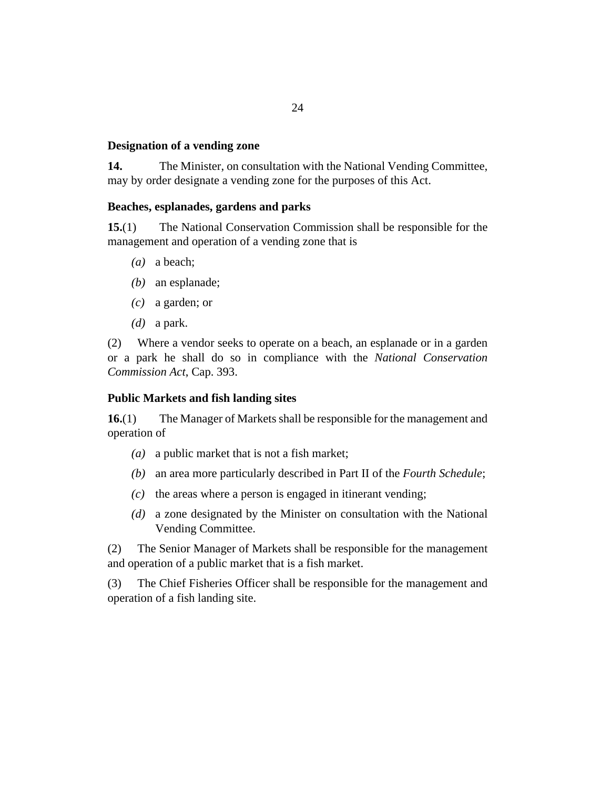## <span id="page-23-0"></span>**Designation of a vending zone**

The Minister, on consultation with the National Vending Committee, may by order designate a vending zone for the purposes of this Act. **14.**

## **Beaches, esplanades, gardens and parks**

The National Conservation Commission shall be responsible for the management and operation of a vending zone that is **15.**(1)

- (a) a beach;
- (b) an esplanade;
- a garden; or *(c)*
- $(d)$  a park.

Where a vendor seeks to operate on a beach, an esplanade or in a garden or a park he shall do so in compliance with the *[National Conservation](http://barbadosparliament-laws.com/en/showdoc/cs/393) [Commission Act](http://barbadosparliament-laws.com/en/showdoc/cs/393)*, Cap. 393. (2)

## **Public Markets and fish landing sites**

The Manager of Markets shall be responsible for the management and operation of **16.**(1)

- a public market that is not a fish market; *(a)*
- an area more particularly described in Part II of the *Fourth Schedule*; *(b)*
- $(c)$  the areas where a person is engaged in itinerant vending;
- a zone designated by the Minister on consultation with the National *(d)* Vending Committee.

The Senior Manager of Markets shall be responsible for the management and operation of a public market that is a fish market. (2)

The Chief Fisheries Officer shall be responsible for the management and operation of a fish landing site. (3)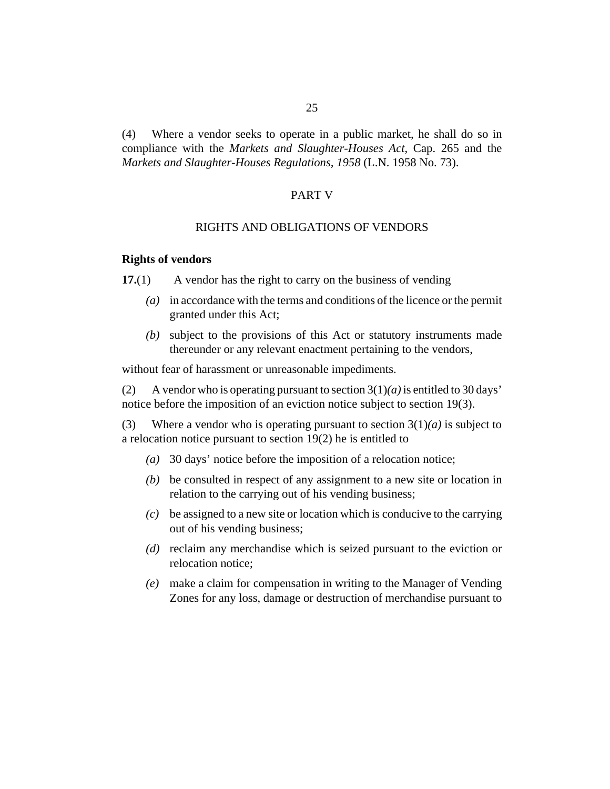<span id="page-24-0"></span>Where a vendor seeks to operate in a public market, he shall do so in compliance with the *[Markets and Slaughter-Houses Act](http://barbadosparliament-laws.com/en/showdoc/cs/265)*, Cap. 265 and the *[Markets and Slaughter-Houses Regulations, 1958](http://barbadosparliament-laws.com/en/showdoc/cr/L.N. 1958 No. 73)* (L.N. 1958 No. 73). (4)

#### PART V

#### RIGHTS AND OBLIGATIONS OF VENDORS

#### **Rights of vendors**

A vendor has the right to carry on the business of vending **17.**(1)

- in accordance with the terms and conditions of the licence or the permit *(a)* granted under this Act;
- subject to the provisions of this Act or statutory instruments made *(b)* thereunder or any relevant enactment pertaining to the vendors,

without fear of harassment or unreasonable impediments.

A vendor who is operating pursuant to section 3(1)*(a)* is entitled to 30 days' notice before the imposition of an eviction notice subject to section 19(3). (2)

Where a vendor who is operating pursuant to section  $3(1)(a)$  is subject to a relocation notice pursuant to section 19(2) he is entitled to (3)

- 30 days' notice before the imposition of a relocation notice; *(a)*
- be consulted in respect of any assignment to a new site or location in *(b)* relation to the carrying out of his vending business;
- be assigned to a new site or location which is conducive to the carrying *(c)* out of his vending business;
- (d) reclaim any merchandise which is seized pursuant to the eviction or relocation notice;
- make a claim for compensation in writing to the Manager of Vending *(e)* Zones for any loss, damage or destruction of merchandise pursuant to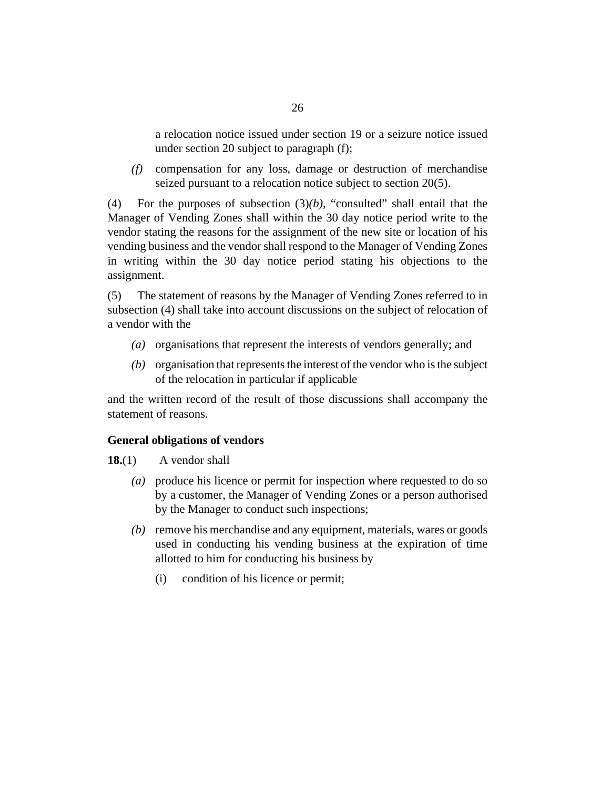<span id="page-25-0"></span>a relocation notice issued under section 19 or a seizure notice issued under section 20 subject to paragraph (f);

compensation for any loss, damage or destruction of merchandise *(f)* seized pursuant to a relocation notice subject to section 20(5).

For the purposes of subsection  $(3)(b)$ , "consulted" shall entail that the Manager of Vending Zones shall within the 30 day notice period write to the vendor stating the reasons for the assignment of the new site or location of his vending business and the vendor shall respond to the Manager of Vending Zones in writing within the 30 day notice period stating his objections to the assignment. (4)

The statement of reasons by the Manager of Vending Zones referred to in subsection (4) shall take into account discussions on the subject of relocation of a vendor with the (5)

- (a) organisations that represent the interests of vendors generally; and
- (b) organisation that represents the interest of the vendor who is the subject of the relocation in particular if applicable

and the written record of the result of those discussions shall accompany the statement of reasons.

## **General obligations of vendors**

A vendor shall **18.**(1)

- produce his licence or permit for inspection where requested to do so *(a)* by a customer, the Manager of Vending Zones or a person authorised by the Manager to conduct such inspections;
- (b) remove his merchandise and any equipment, materials, wares or goods used in conducting his vending business at the expiration of time allotted to him for conducting his business by
	- condition of his licence or permit; (i)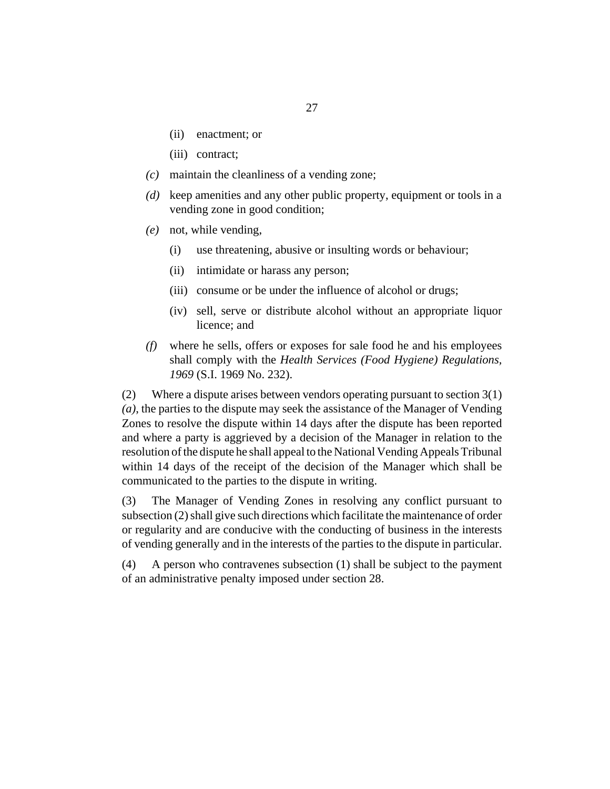- (ii) enactment; or
- (iii) contract;
- maintain the cleanliness of a vending zone; *(c)*
- keep amenities and any other public property, equipment or tools in a *(d)* vending zone in good condition;
- not, while vending, *(e)*
	- use threatening, abusive or insulting words or behaviour; (i)
	- intimidate or harass any person; (ii)
	- (iii) consume or be under the influence of alcohol or drugs;
	- (iv) sell, serve or distribute alcohol without an appropriate liquor licence; and
- where he sells, offers or exposes for sale food he and his employees shall comply with the *[Health Services \(Food Hygiene\) Regulations,](http://barbadosparliament-laws.com/en/showdoc/cr/S.I. 1969 No. 232) 1969* [\(S.I. 1969 No. 232\).](http://barbadosparliament-laws.com/en/showdoc/cr/S.I. 1969 No. 232) *(f)*

Where a dispute arises between vendors operating pursuant to section 3(1) *(a)*, the parties to the dispute may seek the assistance of the Manager of Vending Zones to resolve the dispute within 14 days after the dispute has been reported and where a party is aggrieved by a decision of the Manager in relation to the resolution of the dispute he shall appeal to the National Vending Appeals Tribunal within 14 days of the receipt of the decision of the Manager which shall be communicated to the parties to the dispute in writing. (2)

The Manager of Vending Zones in resolving any conflict pursuant to subsection (2) shall give such directions which facilitate the maintenance of order or regularity and are conducive with the conducting of business in the interests of vending generally and in the interests of the parties to the dispute in particular. (3)

A person who contravenes subsection (1) shall be subject to the payment of an administrative penalty imposed under section 28. (4)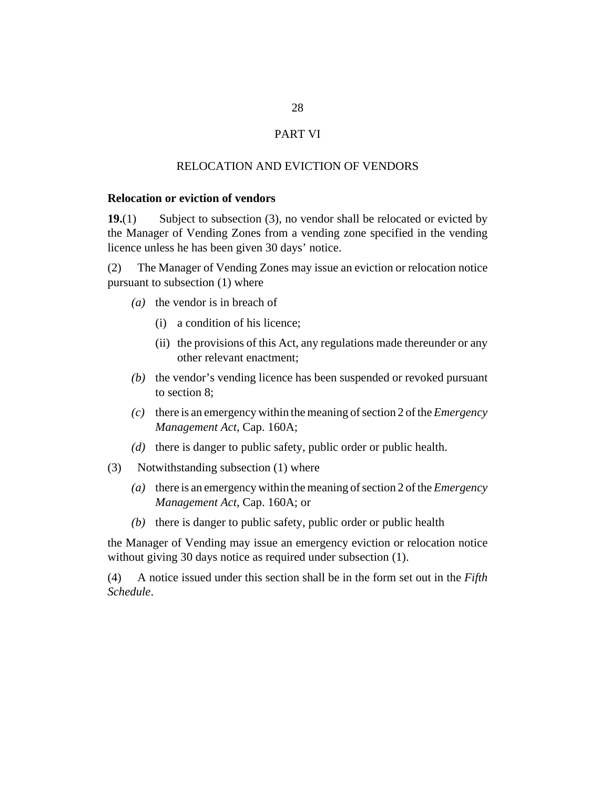## PART VI

## RELOCATION AND EVICTION OF VENDORS

## <span id="page-27-0"></span>**Relocation or eviction of vendors**

Subject to subsection (3), no vendor shall be relocated or evicted by the Manager of Vending Zones from a vending zone specified in the vending licence unless he has been given 30 days' notice. **19.**(1)

The Manager of Vending Zones may issue an eviction or relocation notice pursuant to subsection (1) where (2)

- ( $a)$  the vendor is in breach of
	- a condition of his licence; (i)
	- (ii) the provisions of this Act, any regulations made thereunder or any other relevant enactment;
- (b) the vendor's vending licence has been suspended or revoked pursuant to section 8;
- $\alpha$  there is an emergency within the meaning of section 2 of the *[Emergency](http://barbadosparliament-laws.com/en/showdoc/cs/160A) [Management Act](http://barbadosparliament-laws.com/en/showdoc/cs/160A)*, Cap. 160A;
- (d) there is danger to public safety, public order or public health.
- (3) Notwithstanding subsection (1) where
	- there is an emergency within the meaning of section 2 of the *[Emergency](http://barbadosparliament-laws.com/en/showdoc/cs/160A) (a) [Management Act](http://barbadosparliament-laws.com/en/showdoc/cs/160A)*, Cap. 160A; or
	- $(b)$  there is danger to public safety, public order or public health

the Manager of Vending may issue an emergency eviction or relocation notice without giving 30 days notice as required under subsection (1).

A notice issued under this section shall be in the form set out in the *Fifth Schedule*. (4)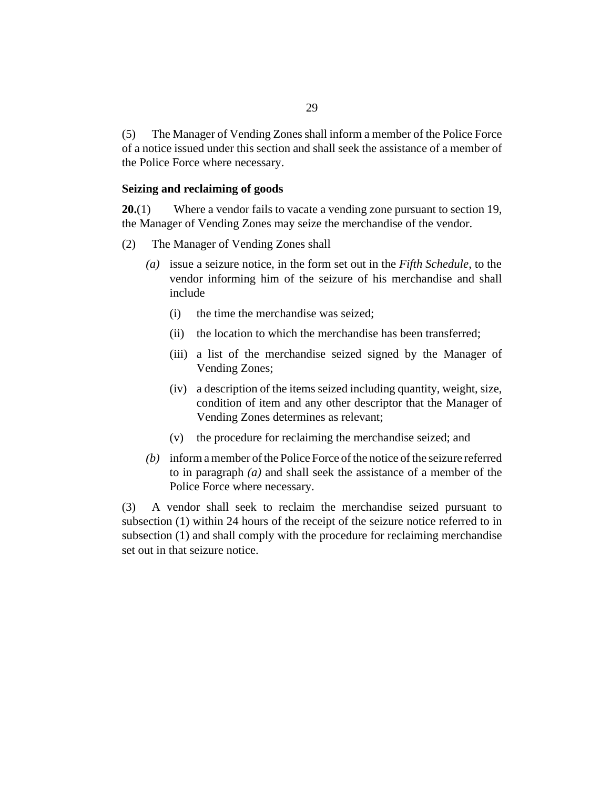<span id="page-28-0"></span>The Manager of Vending Zones shall inform a member of the Police Force of a notice issued under this section and shall seek the assistance of a member of the Police Force where necessary. (5)

#### **Seizing and reclaiming of goods**

Where a vendor fails to vacate a vending zone pursuant to section 19, the Manager of Vending Zones may seize the merchandise of the vendor. **20.**(1)

- The Manager of Vending Zones shall (2)
	- (a) issue a seizure notice, in the form set out in the *Fifth Schedule*, to the vendor informing him of the seizure of his merchandise and shall include
		- the time the merchandise was seized; (i)
		- the location to which the merchandise has been transferred; (ii)
		- (iii) a list of the merchandise seized signed by the Manager of Vending Zones;
		- a description of the items seized including quantity, weight, size, (iv) condition of item and any other descriptor that the Manager of Vending Zones determines as relevant;
		- the procedure for reclaiming the merchandise seized; and (v)
	- inform a member of the Police Force of the notice of the seizure referred *(b)* to in paragraph *(a)* and shall seek the assistance of a member of the Police Force where necessary.

A vendor shall seek to reclaim the merchandise seized pursuant to subsection (1) within 24 hours of the receipt of the seizure notice referred to in subsection (1) and shall comply with the procedure for reclaiming merchandise set out in that seizure notice. (3)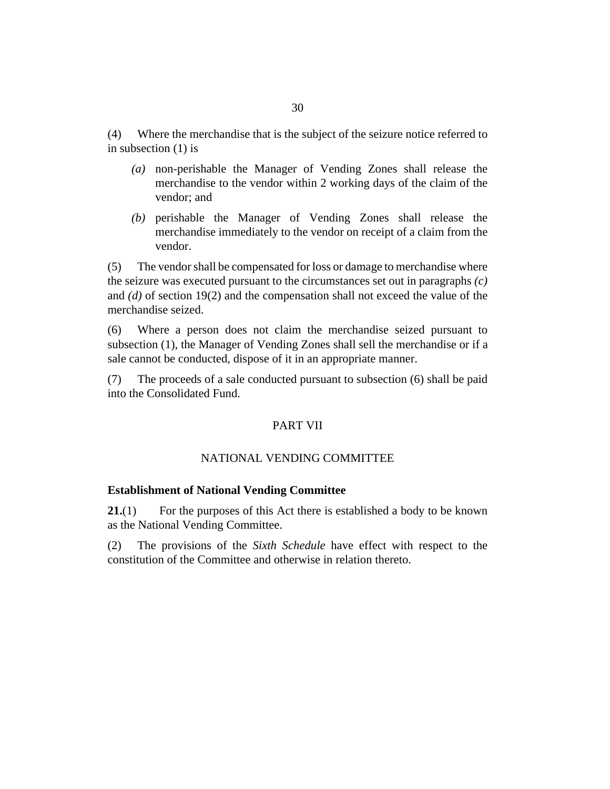<span id="page-29-0"></span>Where the merchandise that is the subject of the seizure notice referred to in subsection (1) is (4)

- non-perishable the Manager of Vending Zones shall release the *(a)* merchandise to the vendor within 2 working days of the claim of the vendor; and
- (b) perishable the Manager of Vending Zones shall release the merchandise immediately to the vendor on receipt of a claim from the vendor.

The vendor shall be compensated for loss or damage to merchandise where the seizure was executed pursuant to the circumstances set out in paragraphs *(c)* and *(d)* of section 19(2) and the compensation shall not exceed the value of the merchandise seized. (5)

Where a person does not claim the merchandise seized pursuant to subsection (1), the Manager of Vending Zones shall sell the merchandise or if a sale cannot be conducted, dispose of it in an appropriate manner. (6)

The proceeds of a sale conducted pursuant to subsection (6) shall be paid into the Consolidated Fund. (7)

## PART VII

# NATIONAL VENDING COMMITTEE

## **Establishment of National Vending Committee**

For the purposes of this Act there is established a body to be known as the National Vending Committee. **21.**(1)

The provisions of the *Sixth Schedule* have effect with respect to the constitution of the Committee and otherwise in relation thereto. (2)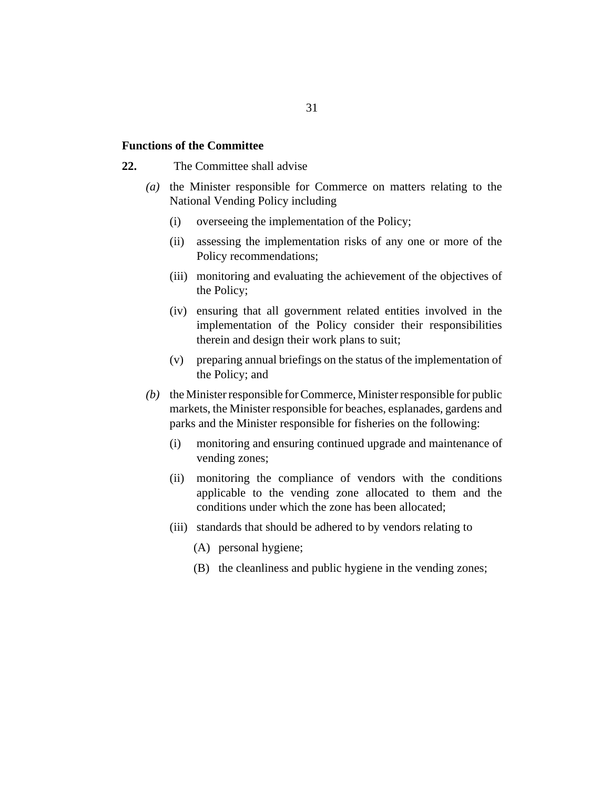#### <span id="page-30-0"></span>**Functions of the Committee**

- The Committee shall advise **22.**
	- (a) the Minister responsible for Commerce on matters relating to the National Vending Policy including
		- overseeing the implementation of the Policy; (i)
		- (ii) assessing the implementation risks of any one or more of the Policy recommendations;
		- (iii) monitoring and evaluating the achievement of the objectives of the Policy;
		- (iv) ensuring that all government related entities involved in the implementation of the Policy consider their responsibilities therein and design their work plans to suit;
		- preparing annual briefings on the status of the implementation of (v) the Policy; and
	- (b) the Minister responsible for Commerce, Minister responsible for public markets, the Minister responsible for beaches, esplanades, gardens and parks and the Minister responsible for fisheries on the following:
		- monitoring and ensuring continued upgrade and maintenance of vending zones; (i)
		- (ii) monitoring the compliance of vendors with the conditions applicable to the vending zone allocated to them and the conditions under which the zone has been allocated;
		- (iii) standards that should be adhered to by vendors relating to
			- (A) personal hygiene;
			- (B) the cleanliness and public hygiene in the vending zones;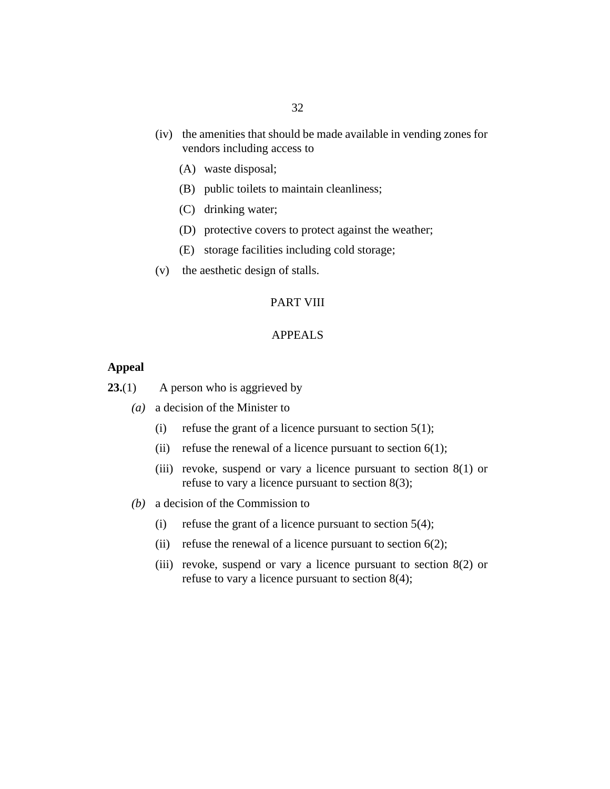- <span id="page-31-0"></span>(iv) the amenities that should be made available in vending zones for vendors including access to
	- waste disposal; (A)
	- (B) public toilets to maintain cleanliness;
	- (C) drinking water;
	- (D) protective covers to protect against the weather;
	- storage facilities including cold storage; (E)
- $(v)$  the aesthetic design of stalls.

## PART VIII

## APPEALS

## **Appeal**

A person who is aggrieved by **23.**(1)

- a decision of the Minister to *(a)*
	- refuse the grant of a licence pursuant to section 5(1); (i)
	- refuse the renewal of a licence pursuant to section 6(1);  $(ii)$
	- (iii) revoke, suspend or vary a licence pursuant to section  $8(1)$  or refuse to vary a licence pursuant to section 8(3);
- a decision of the Commission to *(b)*
	- refuse the grant of a licence pursuant to section 5(4); (i)
	- refuse the renewal of a licence pursuant to section 6(2);  $(ii)$
	- (iii) revoke, suspend or vary a licence pursuant to section  $8(2)$  or refuse to vary a licence pursuant to section 8(4);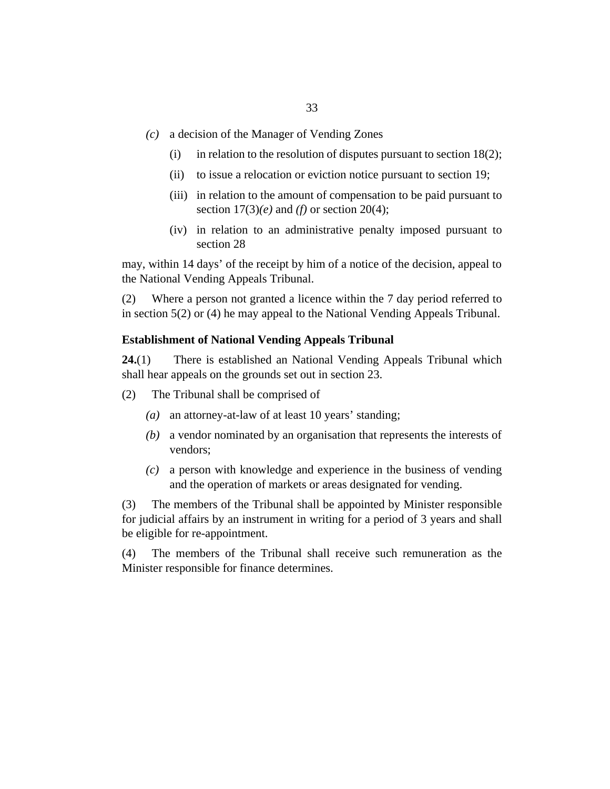- <span id="page-32-0"></span>a decision of the Manager of Vending Zones *(c)*
	- in relation to the resolution of disputes pursuant to section 18(2); (i)
	- (ii) to issue a relocation or eviction notice pursuant to section 19;
	- (iii) in relation to the amount of compensation to be paid pursuant to section 17(3)*(e)* and *(f)* or section 20(4);
	- (iv) in relation to an administrative penalty imposed pursuant to section 28

may, within 14 days' of the receipt by him of a notice of the decision, appeal to the National Vending Appeals Tribunal.

Where a person not granted a licence within the 7 day period referred to in section 5(2) or (4) he may appeal to the National Vending Appeals Tribunal. (2)

#### **Establishment of National Vending Appeals Tribunal**

There is established an National Vending Appeals Tribunal which shall hear appeals on the grounds set out in section 23. **24.**(1)

- The Tribunal shall be comprised of (2)
	- (a) an attorney-at-law of at least 10 years' standing;
	- a vendor nominated by an organisation that represents the interests of *(b)* vendors;
	- a person with knowledge and experience in the business of vending *(c)* and the operation of markets or areas designated for vending.

The members of the Tribunal shall be appointed by Minister responsible for judicial affairs by an instrument in writing for a period of 3 years and shall be eligible for re-appointment. (3)

The members of the Tribunal shall receive such remuneration as the Minister responsible for finance determines. (4)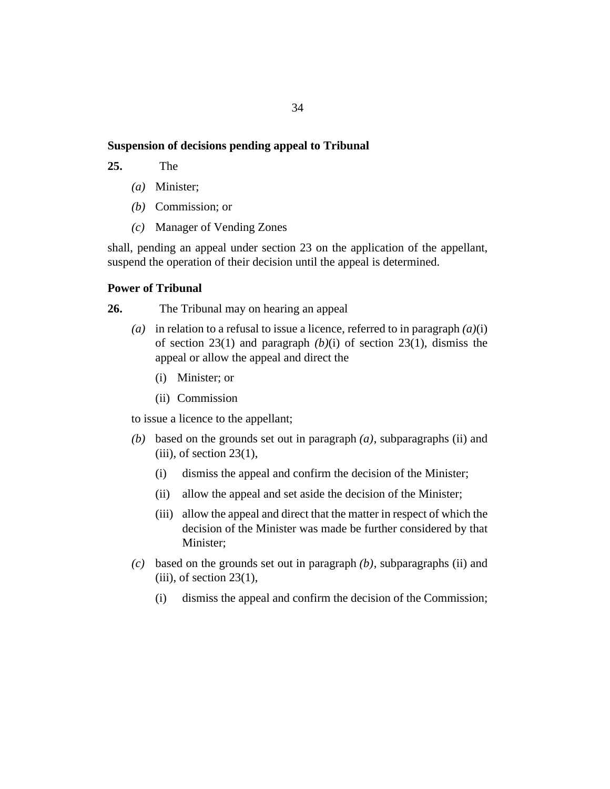#### <span id="page-33-0"></span>**Suspension of decisions pending appeal to Tribunal**

The **25.**

- Minister; *(a)*
- (*b*) Commission; or
- Manager of Vending Zones *(c)*

shall, pending an appeal under section 23 on the application of the appellant, suspend the operation of their decision until the appeal is determined.

## **Power of Tribunal**

The Tribunal may on hearing an appeal **26.**

- (a) in relation to a refusal to issue a licence, referred to in paragraph  $(a)(i)$ of section 23(1) and paragraph *(b)*(i) of section 23(1), dismiss the appeal or allow the appeal and direct the
	- Minister; or (i)
	- (ii) Commission

to issue a licence to the appellant;

- (b) based on the grounds set out in paragraph  $(a)$ , subparagraphs (ii) and  $(iii)$ , of section 23(1),
	- dismiss the appeal and confirm the decision of the Minister; (i)
	- (ii) allow the appeal and set aside the decision of the Minister;
	- (iii) allow the appeal and direct that the matter in respect of which the decision of the Minister was made be further considered by that Minister;
- based on the grounds set out in paragraph *(b)*, subparagraphs (ii) and *(c)*  $(iii)$ , of section 23 $(1)$ ,
	- dismiss the appeal and confirm the decision of the Commission; (i)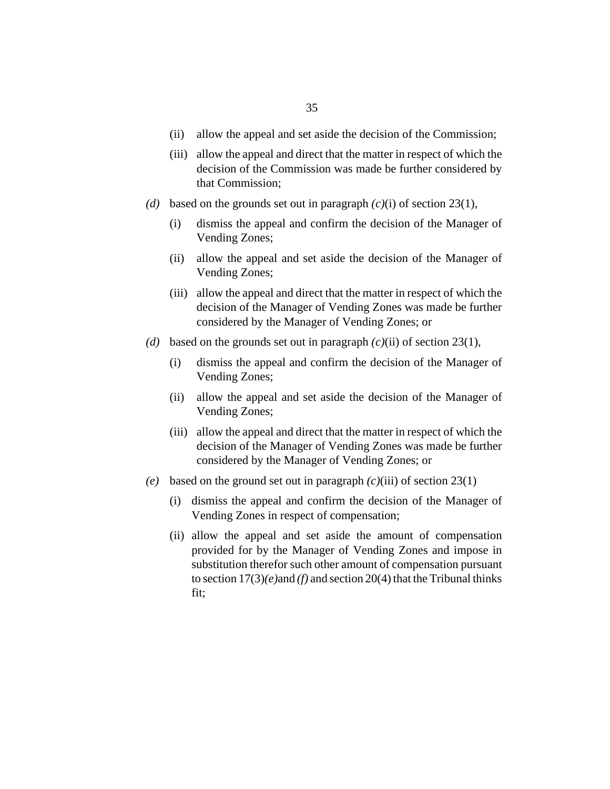- allow the appeal and set aside the decision of the Commission; (ii)
- (iii) allow the appeal and direct that the matter in respect of which the decision of the Commission was made be further considered by that Commission;
- (d) based on the grounds set out in paragraph  $(c)(i)$  of section 23(1),
	- dismiss the appeal and confirm the decision of the Manager of Vending Zones; (i)
	- (ii) allow the appeal and set aside the decision of the Manager of Vending Zones;
	- (iii) allow the appeal and direct that the matter in respect of which the decision of the Manager of Vending Zones was made be further considered by the Manager of Vending Zones; or
- (d) based on the grounds set out in paragraph  $(c)(ii)$  of section 23(1),
	- dismiss the appeal and confirm the decision of the Manager of Vending Zones; (i)
	- allow the appeal and set aside the decision of the Manager of Vending Zones; (ii)
	- (iii) allow the appeal and direct that the matter in respect of which the decision of the Manager of Vending Zones was made be further considered by the Manager of Vending Zones; or
- (e) based on the ground set out in paragraph  $(c)(iii)$  of section 23(1)
	- (i) dismiss the appeal and confirm the decision of the Manager of Vending Zones in respect of compensation;
	- (ii) allow the appeal and set aside the amount of compensation provided for by the Manager of Vending Zones and impose in substitution therefor such other amount of compensation pursuant to section 17(3)*(e)*and *(f)* and section 20(4) that the Tribunal thinks fit;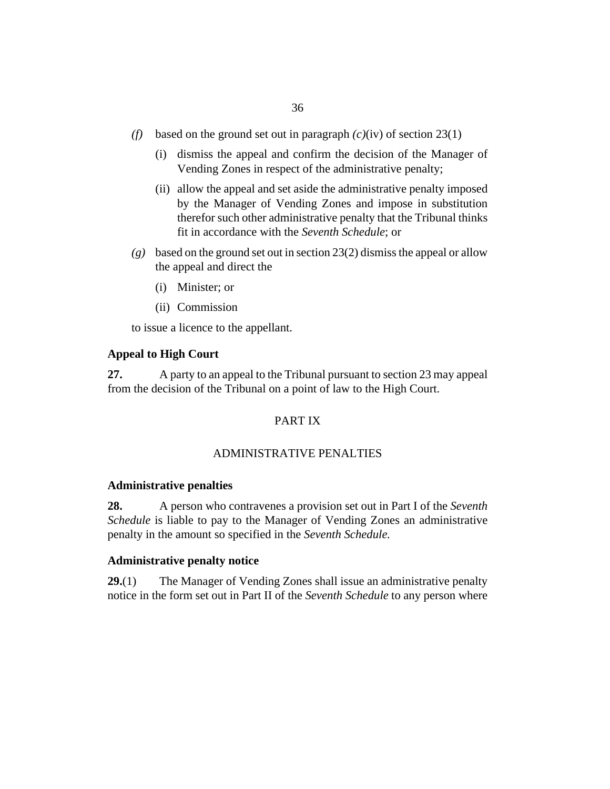- <span id="page-35-0"></span>(f) based on the ground set out in paragraph  $(c)(iv)$  of section 23(1)
	- (i) dismiss the appeal and confirm the decision of the Manager of Vending Zones in respect of the administrative penalty;
	- (ii) allow the appeal and set aside the administrative penalty imposed by the Manager of Vending Zones and impose in substitution therefor such other administrative penalty that the Tribunal thinks fit in accordance with the *Seventh Schedule*; or
- based on the ground set out in section 23(2) dismiss the appeal or allow *(g)* the appeal and direct the
	- Minister; or (i)
	- (ii) Commission

to issue a licence to the appellant.

## **Appeal to High Court**

A party to an appeal to the Tribunal pursuant to section 23 may appeal from the decision of the Tribunal on a point of law to the High Court. **27.**

#### PART IX

#### ADMINISTRATIVE PENALTIES

#### **Administrative penalties**

A person who contravenes a provision set out in Part I of the *Seventh Schedule* is liable to pay to the Manager of Vending Zones an administrative penalty in the amount so specified in the *Seventh Schedule.* **28.**

#### **Administrative penalty notice**

The Manager of Vending Zones shall issue an administrative penalty notice in the form set out in Part II of the *Seventh Schedule* to any person where **29.**(1)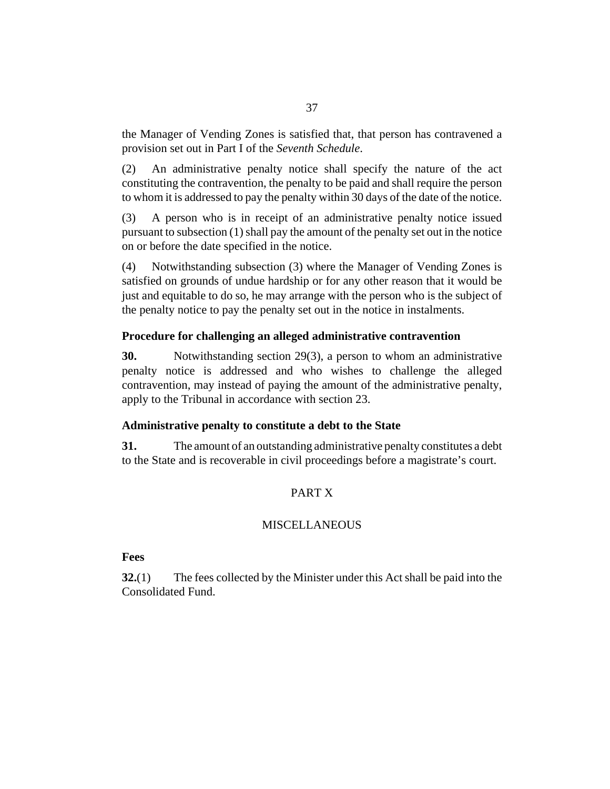the Manager of Vending Zones is satisfied that, that person has contravened a provision set out in Part I of the *Seventh Schedule*.

An administrative penalty notice shall specify the nature of the act constituting the contravention, the penalty to be paid and shall require the person to whom it is addressed to pay the penalty within 30 days of the date of the notice. (2)

A person who is in receipt of an administrative penalty notice issued pursuant to subsection (1) shall pay the amount of the penalty set out in the notice on or before the date specified in the notice. (3)

Notwithstanding subsection (3) where the Manager of Vending Zones is satisfied on grounds of undue hardship or for any other reason that it would be just and equitable to do so, he may arrange with the person who is the subject of the penalty notice to pay the penalty set out in the notice in instalments. (4)

# **Procedure for challenging an alleged administrative contravention**

Notwithstanding section 29(3), a person to whom an administrative penalty notice is addressed and who wishes to challenge the alleged contravention, may instead of paying the amount of the administrative penalty, apply to the Tribunal in accordance with section 23. **30.**

### **Administrative penalty to constitute a debt to the State**

The amount of an outstanding administrative penalty constitutes a debt to the State and is recoverable in civil proceedings before a magistrate's court. **31.**

# PART X

# **MISCELLANEOUS**

**Fees**

The fees collected by the Minister under this Act shall be paid into the Consolidated Fund. **32.**(1)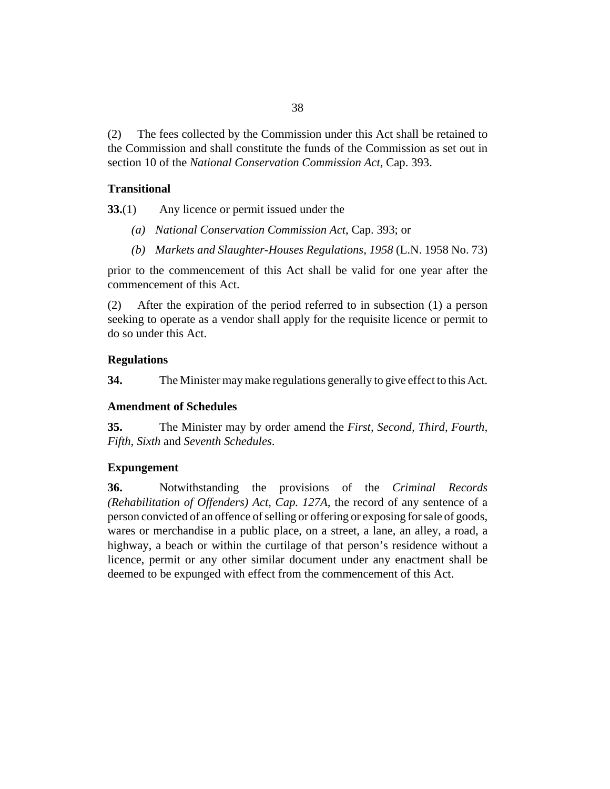The fees collected by the Commission under this Act shall be retained to the Commission and shall constitute the funds of the Commission as set out in section 10 of the *[National Conservation Commission Act](http://barbadosparliament-laws.com/en/showdoc/cs/393)*, Cap. 393. (2)

# **Transitional**

Any licence or permit issued under the **33.**(1)

- *[National Conservation Commission Act](http://barbadosparliament-laws.com/en/showdoc/cs/393)*, Cap. 393; or *(a)*
- *[Markets and Slaughter-Houses Regulations, 1958](http://barbadosparliament-laws.com/en/showdoc/cr/L.N. 1958 No. 73)* (L.N. 1958 No. 73) *(b)*

prior to the commencement of this Act shall be valid for one year after the commencement of this Act.

After the expiration of the period referred to in subsection (1) a person seeking to operate as a vendor shall apply for the requisite licence or permit to do so under this Act. (2)

# **Regulations**

The Minister may make regulations generally to give effect to this Act. **34.**

# **Amendment of Schedules**

The Minister may by order amend the *First, Second, Third, Fourth, Fifth, Sixth* and *Seventh Schedules*. **35.**

# **Expungement**

Notwithstanding the provisions of the *[Criminal Records](http://barbadosparliament-laws.com/en/showdoc/cs/127A) [\(Rehabilitation of Offenders\) Act, Cap. 127A,](http://barbadosparliament-laws.com/en/showdoc/cs/127A)* the record of any sentence of a person convicted of an offence of selling or offering or exposing for sale of goods, wares or merchandise in a public place, on a street, a lane, an alley, a road, a highway, a beach or within the curtilage of that person's residence without a licence, permit or any other similar document under any enactment shall be deemed to be expunged with effect from the commencement of this Act. **36.**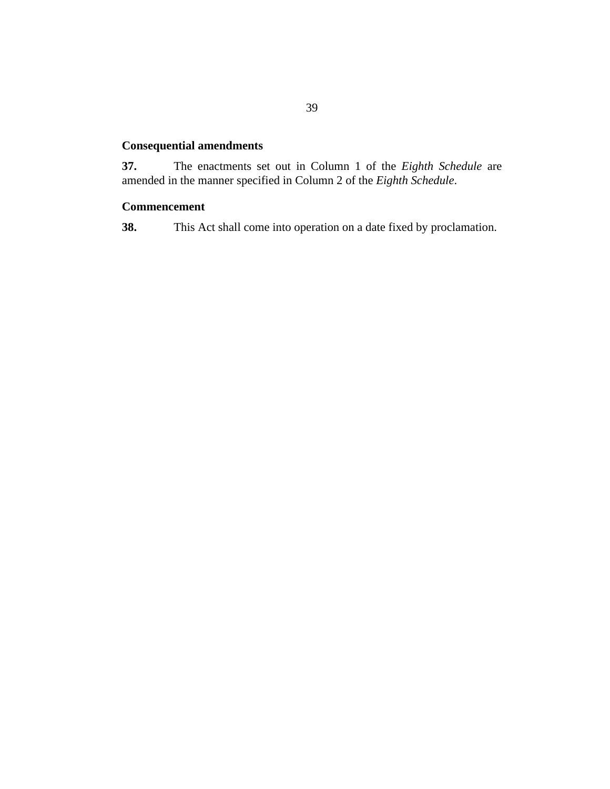# **Consequential amendments**

The enactments set out in Column 1 of the *Eighth Schedule* are amended in the manner specified in Column 2 of the *Eighth Schedule*. **37.**

# **Commencement**

This Act shall come into operation on a date fixed by proclamation. **38.**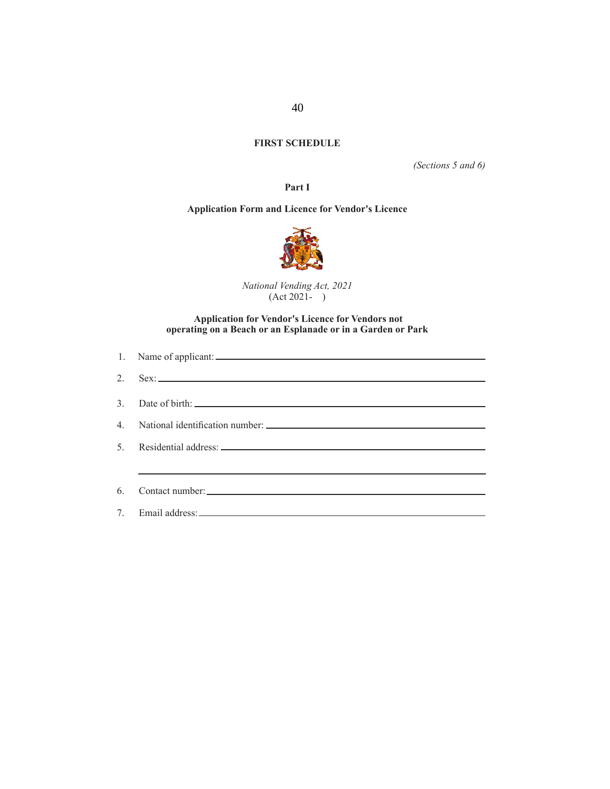# **FIRST SCHEDULE**

*(Sections 5 and 6)*

**Part I**

## **Application Form and Licence for Vendor's Licence**



*National Vending Act, 2021*  (Act 2021- )

### **Application for Vendor's Licence for Vendors not operating on a Beach or an Esplanade or in a Garden or Park**

|                                  | 1. Name of applicant:           |
|----------------------------------|---------------------------------|
| 2.                               |                                 |
| $\mathcal{E}$                    |                                 |
| $\overline{4}$                   | National identification number: |
| 5                                |                                 |
|                                  |                                 |
| 6.                               | Contact number:                 |
| $7_{\scriptscriptstyle{\ddots}}$ |                                 |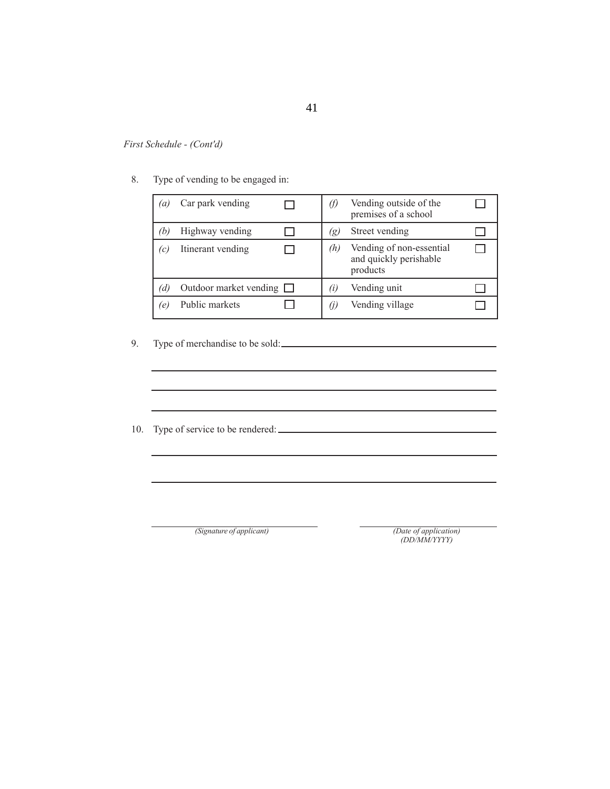8. Type of vending to be engaged in:

| $^{\prime}a$ | Car park vending              |                   | Vending outside of the<br>premises of a school                 |  |
|--------------|-------------------------------|-------------------|----------------------------------------------------------------|--|
| ÏЬ.          | Highway vending               | 'g)               | Street vending                                                 |  |
| (c)          | Itinerant vending             | (h)               | Vending of non-essential<br>and quickly perishable<br>products |  |
| (d)          | Outdoor market vending $\Box$ | $\left( i\right)$ | Vending unit                                                   |  |
| (e)          | Public markets                | (J)               | Vending village                                                |  |

# 9. Type of merchandise to be sold:

10. Type of service to be rendered:  $\frac{1}{2}$ 

*(Signature of applicant)*

*(Date of application) (DD/MM/YYYY)*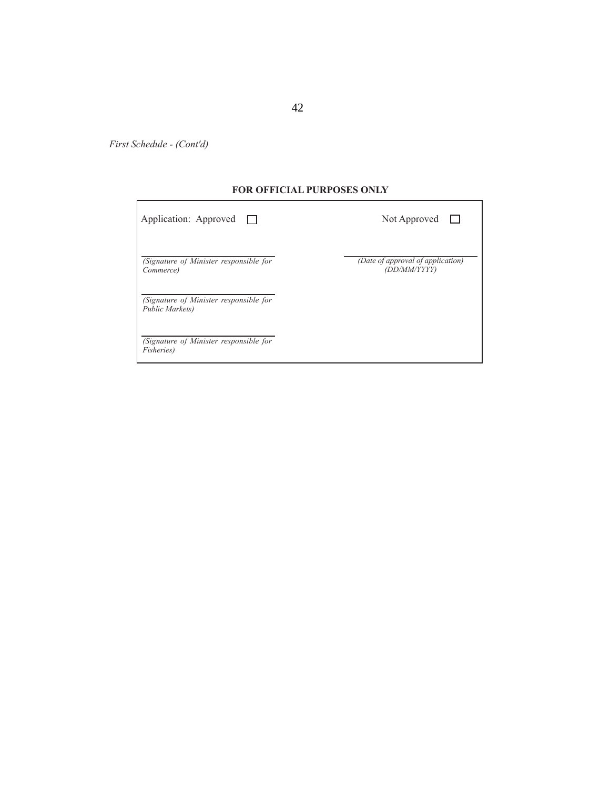## **FOR OFFICIAL PURPOSES ONLY**

| Application: Approved $\Box$                                 | Not Approved                                      |
|--------------------------------------------------------------|---------------------------------------------------|
| (Signature of Minister responsible for<br>Commerce)          | (Date of approval of application)<br>(DD/MM/YYYY) |
| (Signature of Minister responsible for<br>Public Markets)    |                                                   |
| (Signature of Minister responsible for<br><i>Fisheries</i> ) |                                                   |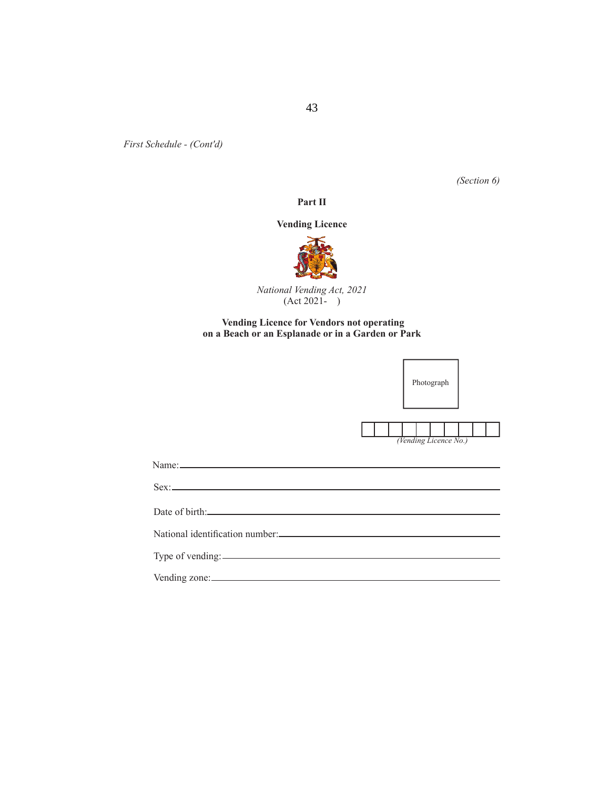*(Section 6)*

#### **Part II**

#### **Vending Licence**



*National Vending Act, 2021*  (Act 2021- )

#### **Vending Licence for Vendors not operating on a Beach or an Esplanade or in a Garden or Park**

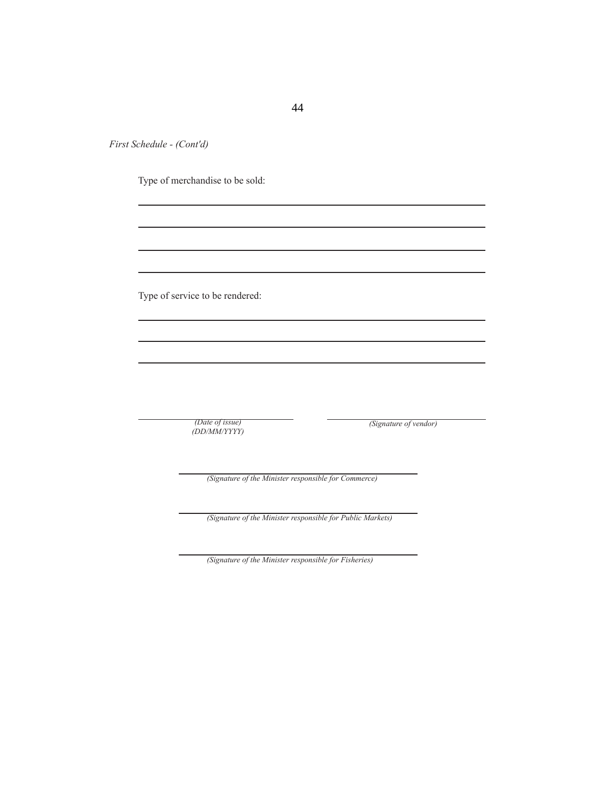Type of merchandise to be sold:

Type of service to be rendered:

*(Date of issue) (DD/MM/YYYY)* *(Signature of vendor)*

*(Signature of the Minister responsible for Commerce)*

*(Signature of the Minister responsible for Public Markets)*

*(Signature of the Minister responsible for Fisheries)*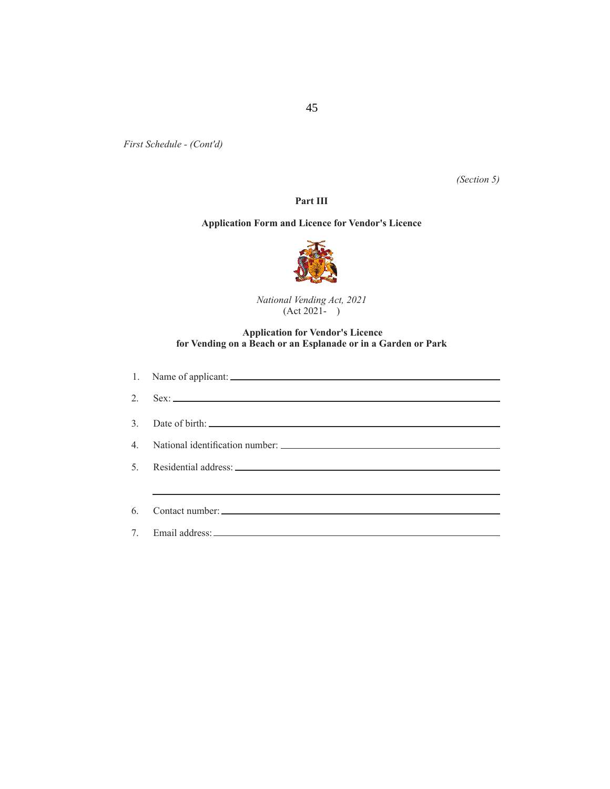*(Section 5)*

### **Part III**

# **Application Form and Licence for Vendor's Licence**



*National Vending Act, 2021*  (Act 2021- )

#### **Application for Vendor's Licence for Vending on a Beach or an Esplanade or in a Garden or Park**

| 2. Sex: $\overline{\phantom{a}}$ |
|----------------------------------|
| 3. Date of birth:                |
|                                  |
|                                  |
|                                  |
|                                  |
|                                  |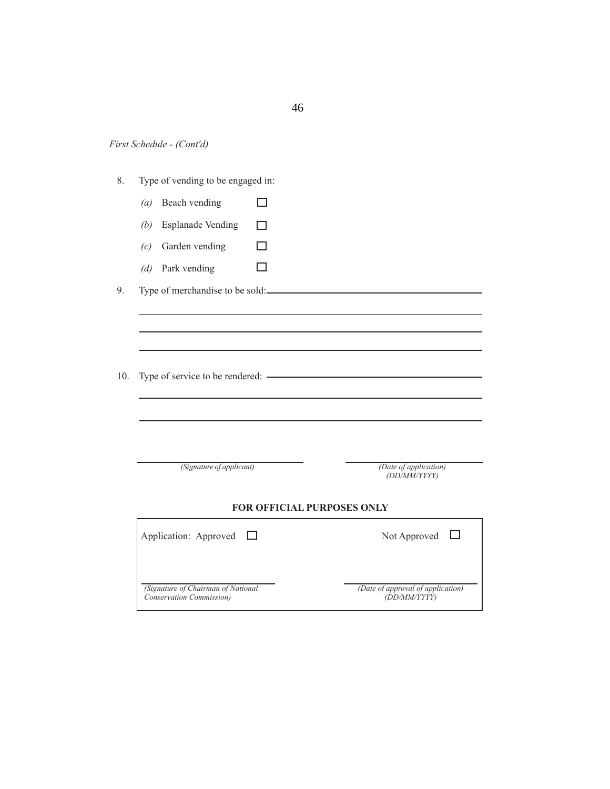| First Schedule - (Cont'd) |  |
|---------------------------|--|
|---------------------------|--|

- 8. Type of vending to be engaged in:
	- *(a)* Beach vending  $\Box$
	- *(b)* Esplanade Vending  $\Box$
	- *(c)* Garden vending  $\Box$
	- $\Box$ *(d)* Park vending

9. Type of merchandise to be sold:

10. Type of service to be rendered:  $\overline{\phantom{a}}$ 

*(Signature of applicant)*

*(Date of application) (DD/MM/YYYY)*

#### **FOR OFFICIAL PURPOSES ONLY**

| Application: Approved $\Box$       | Not Approved                      |
|------------------------------------|-----------------------------------|
|                                    |                                   |
| (Signature of Chairman of National | (Date of approval of application) |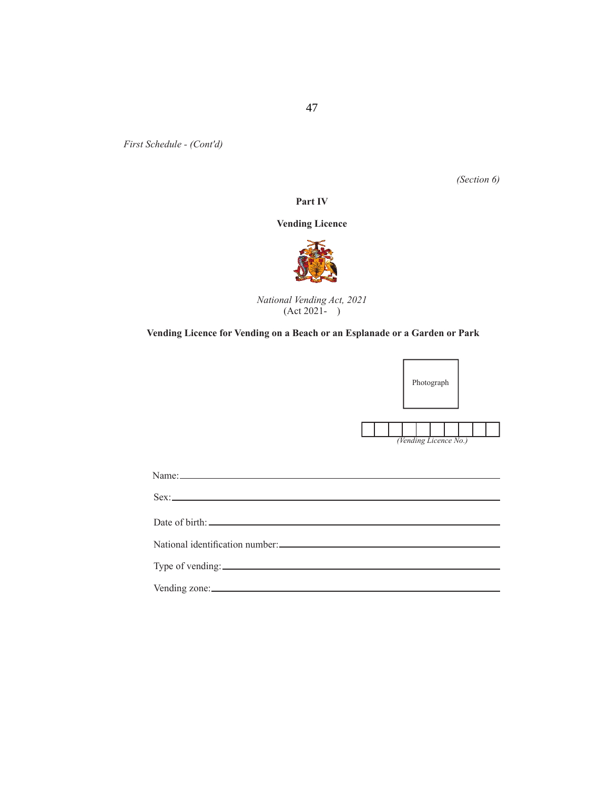*(Section 6)*

#### **Part IV**

# **Vending Licence**



*National Vending Act, 2021*   $(Act 2021 - )$ 

# **Vending Licence for Vending on a Beach or an Esplanade or a Garden or Park**



| Name:         |                                                                                                                                                                                                                                |
|---------------|--------------------------------------------------------------------------------------------------------------------------------------------------------------------------------------------------------------------------------|
|               | Sex:                                                                                                                                                                                                                           |
|               | Date of birth experience of the state of the state of the state of the state of the state of the state of the state of the state of the state of the state of the state of the state of the state of the state of the state of |
|               |                                                                                                                                                                                                                                |
|               |                                                                                                                                                                                                                                |
| Vending zone: |                                                                                                                                                                                                                                |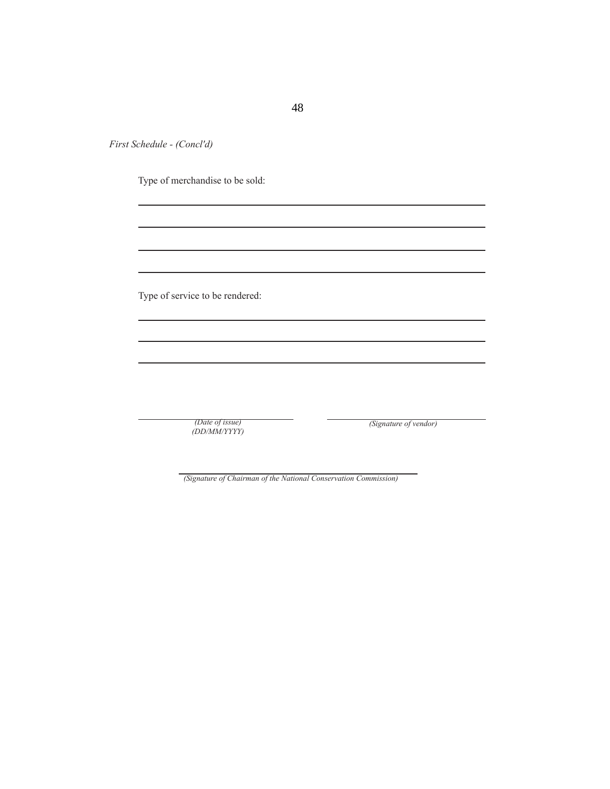Type of merchandise to be sold:

Type of service to be rendered:

*(Date of issue) (DD/MM/YYYY)* *(Signature of vendor)*

*(Signature of Chairman of the National Conservation Commission)*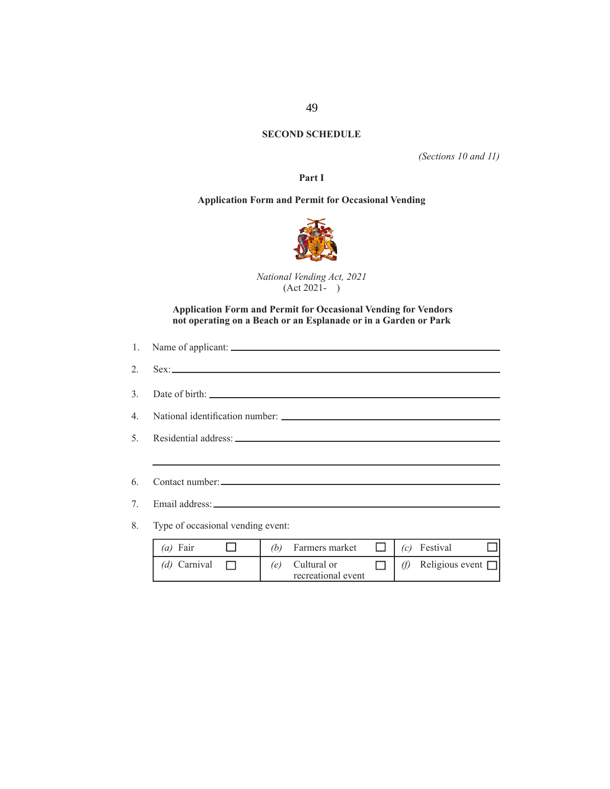# **SECOND SCHEDULE**

*(Sections 10 and 11)*

**Part I**

# **Application Form and Permit for Occasional Vending**



*National Vending Act, 2021*  (Act 2021- )

 **Application Form and Permit for Occasional Vending for Vendors not operating on a Beach or an Esplanade or in a Garden or Park**

| <u> 1980 - Johann Stoff, deutscher Stoffen und der Stoffen und der Stoffen und der Stoffen und der Stoffen und der</u> |
|------------------------------------------------------------------------------------------------------------------------|
|                                                                                                                        |
| 7. Email address:                                                                                                      |
| 8. Type of occasional vending event:                                                                                   |

| $(a)$ Fair   | (b) | Farmers market                    |     | (c) Festival           |  |
|--------------|-----|-----------------------------------|-----|------------------------|--|
| (d) Carnival | (e) | Cultural or<br>recreational event | (f) | Religious event $\Box$ |  |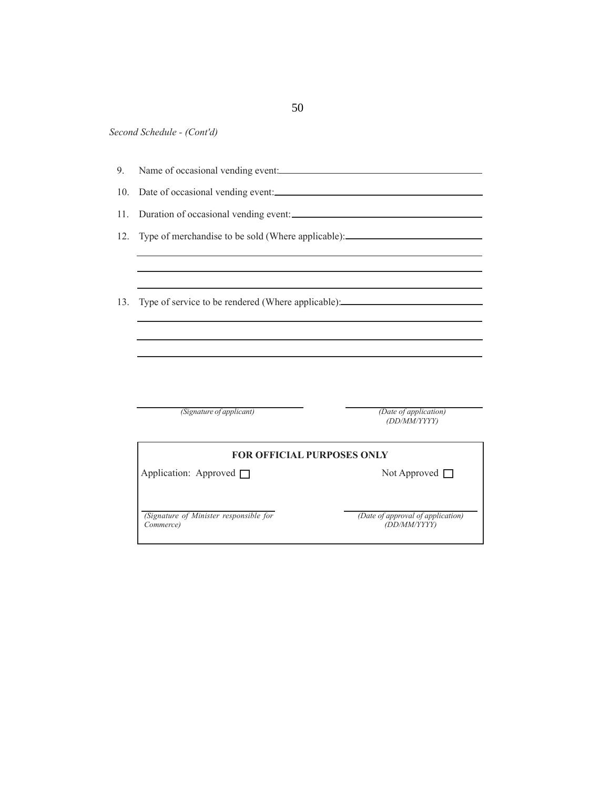|  | Name of occasional vending event: |  |  |
|--|-----------------------------------|--|--|
|  |                                   |  |  |
|  |                                   |  |  |

- 10. Date of occasional vending event:
- 11. Duration of occasional vending event:
- 12. Type of merchandise to be sold (Where applicable):

13. Type of service to be rendered (Where applicable):

*(Signature of applicant)*

*(Date of application) (DD/MM/YYYY)*

| <b>FOR OFFICIAL PURPOSES ONLY</b>                   |                                                   |  |  |  |  |
|-----------------------------------------------------|---------------------------------------------------|--|--|--|--|
| Application: Approved $\Box$                        | Not Approved $\Box$                               |  |  |  |  |
| (Signature of Minister responsible for<br>Commerce) | (Date of approval of application)<br>(DD/MM/YYYY) |  |  |  |  |

50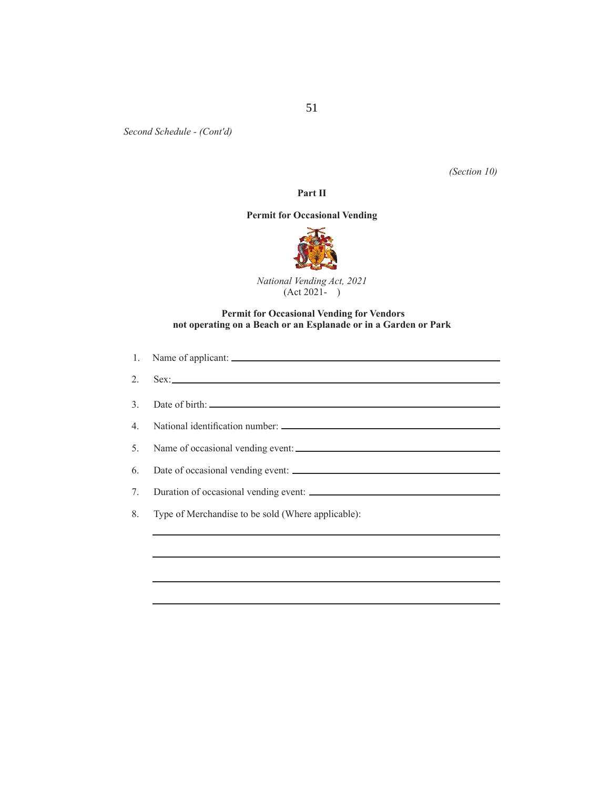*(Section 10)*

# **Part II**

# **Permit for Occasional Vending**



*National Vending Act, 2021*  (Act 2021- )

### **Permit for Occasional Vending for Vendors not operating on a Beach or an Esplanade or in a Garden or Park**

|    | $2.$ Sex:                                          |
|----|----------------------------------------------------|
|    |                                                    |
|    |                                                    |
|    |                                                    |
| 6. |                                                    |
| 7. | Duration of occasional vending event:              |
| 8. | Type of Merchandise to be sold (Where applicable): |
|    |                                                    |
|    |                                                    |
|    |                                                    |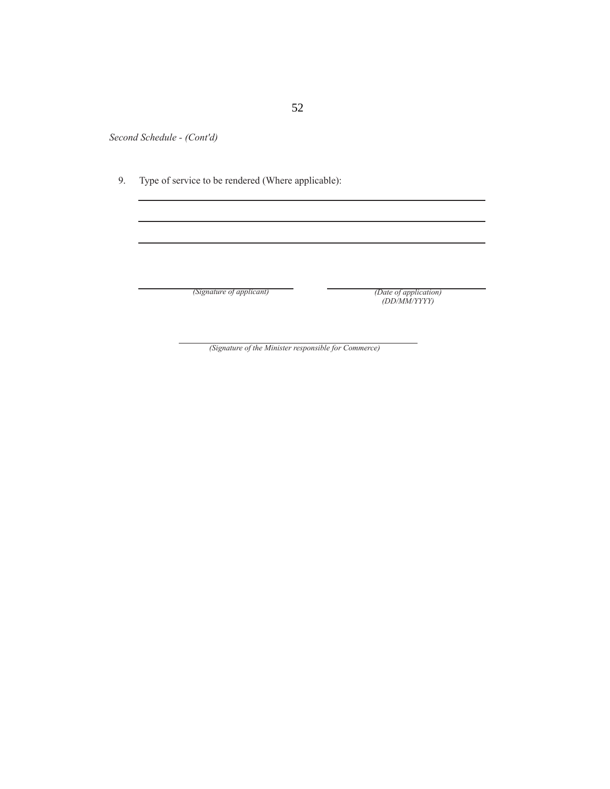9. Type of service to be rendered (Where applicable):

*(Signature of applicant)*

#### *(Date of application) (DD/MM/YYYY)*

*(Signature of the Minister responsible for Commerce)*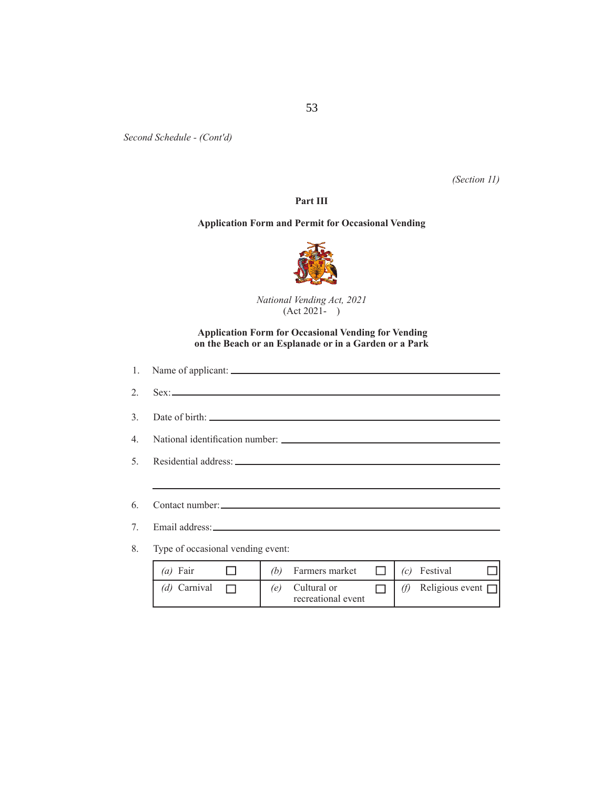*(Section 11)*

## **Part III**

#### **Application Form and Permit for Occasional Vending**



*National Vending Act, 2021*   $(Act 2021 - )$ 

#### **Application Form for Occasional Vending for Vending on the Beach or an Esplanade or in a Garden or a Park**

| 6. |                                                                     |
|----|---------------------------------------------------------------------|
| 7. |                                                                     |
|    | 8. Type of occasional vending event:                                |
|    | (b) Farmers market $\Box$<br>$(c)$ Festival<br>$(a)$ Fair<br>$\Box$ |

*(d)* Carnival  $\Box$  *(e)* Cultural or  $\Box$  *(f)* Religious event  $\Box$ recreational event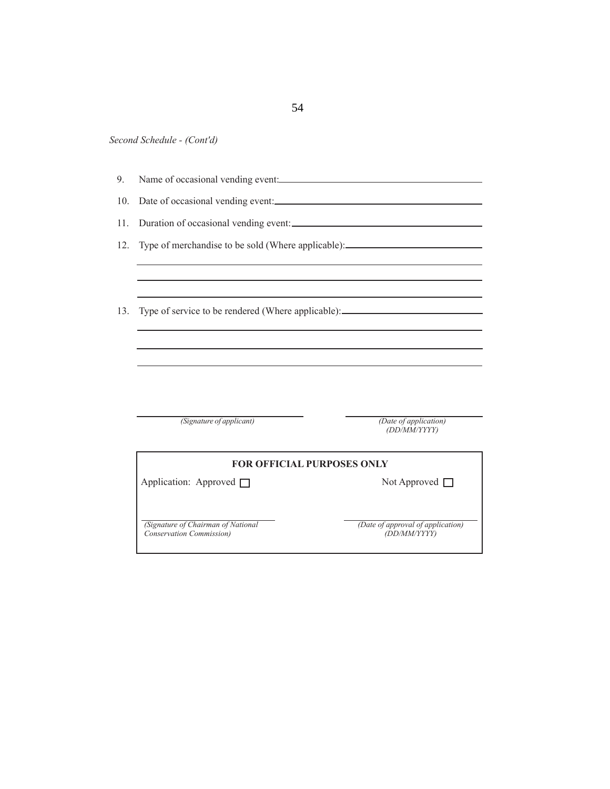|  | Second Schedule - (Cont'd) |  |
|--|----------------------------|--|
|--|----------------------------|--|

| 9.  |                                                                                  |                                       |  |  |  |  |  |  |  |  |  |
|-----|----------------------------------------------------------------------------------|---------------------------------------|--|--|--|--|--|--|--|--|--|
| 10. |                                                                                  | Date of occasional vending event:     |  |  |  |  |  |  |  |  |  |
| 11. | Duration of occasional vending event:                                            |                                       |  |  |  |  |  |  |  |  |  |
| 12. | Type of merchandise to be sold (Where applicable):______________________________ |                                       |  |  |  |  |  |  |  |  |  |
|     |                                                                                  |                                       |  |  |  |  |  |  |  |  |  |
| 13. | Type of service to be rendered (Where applicable): _____________________________ |                                       |  |  |  |  |  |  |  |  |  |
|     |                                                                                  |                                       |  |  |  |  |  |  |  |  |  |
|     |                                                                                  |                                       |  |  |  |  |  |  |  |  |  |
|     |                                                                                  |                                       |  |  |  |  |  |  |  |  |  |
|     |                                                                                  |                                       |  |  |  |  |  |  |  |  |  |
|     | (Signature of applicant)                                                         | (Date of application)<br>(DD/MM/YYYY) |  |  |  |  |  |  |  |  |  |
|     | <b>FOR OFFICIAL PURPOSES ONLY</b>                                                |                                       |  |  |  |  |  |  |  |  |  |
|     | Application: Approved □                                                          | Not Approved $\Box$                   |  |  |  |  |  |  |  |  |  |
|     | (Signature of Chairman of National                                               | (Date of approval of application)     |  |  |  |  |  |  |  |  |  |
|     | Conservation Commission)                                                         | (DD/MM/YYYY)                          |  |  |  |  |  |  |  |  |  |

54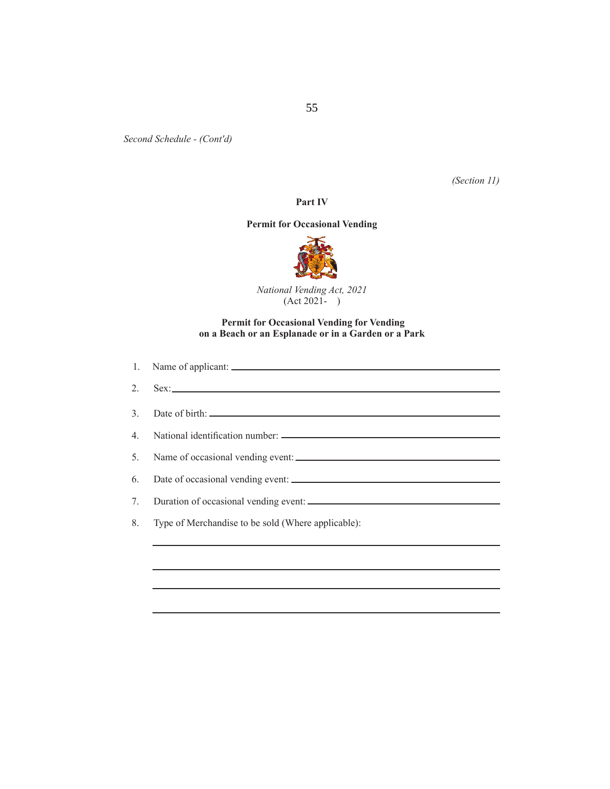*(Section 11)*

# **Part IV**

#### **Permit for Occasional Vending**



*National Vending Act, 2021*  (Act 2021- )

### **Permit for Occasional Vending for Vending on a Beach or an Esplanade or in a Garden or a Park**

|    | 2. $Sex:$                                          |
|----|----------------------------------------------------|
|    |                                                    |
|    |                                                    |
|    |                                                    |
| 6. |                                                    |
| 7. |                                                    |
| 8. | Type of Merchandise to be sold (Where applicable): |
|    |                                                    |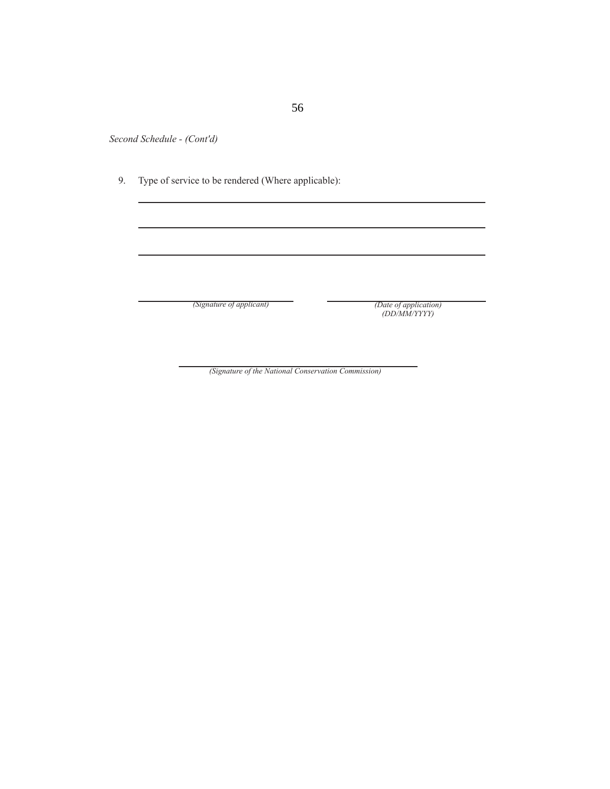9. Type of service to be rendered (Where applicable):

*(Signature of applicant)*

*(Date of application) (DD/MM/YYYY)*

*(Signature of the National Conservation Commission)*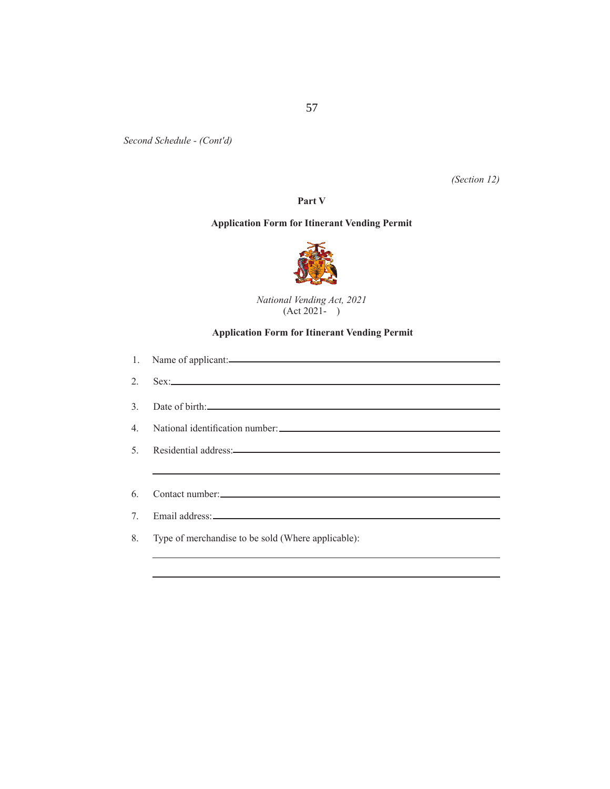*(Section 12)*

**Part V**

# **Application Form for Itinerant Vending Permit**



*National Vending Act, 2021*  (Act 2021- )

# **Application Form for Itinerant Vending Permit**

| 1. Name of applicant:                                                                                                                                                                                                         |
|-------------------------------------------------------------------------------------------------------------------------------------------------------------------------------------------------------------------------------|
| $2.$ Sex:                                                                                                                                                                                                                     |
| 3. Date of birth:                                                                                                                                                                                                             |
|                                                                                                                                                                                                                               |
| 5. Residential address: 5. September 2014 and 2015 and 2016 and 2017 and 2018 and 2018 and 2018 and 2018 and 2018 and 2018 and 2019 and 2019 and 2019 and 2019 and 2019 and 2019 and 2019 and 2019 and 2019 and 2019 and 2019 |
| <u> 1989 - Jan Barat de Barat de la Barat de la Barat de la Barat de la Barat de la Barat de la Barat de la Bara</u>                                                                                                          |
|                                                                                                                                                                                                                               |
|                                                                                                                                                                                                                               |
| 8. Type of merchandise to be sold (Where applicable):                                                                                                                                                                         |
|                                                                                                                                                                                                                               |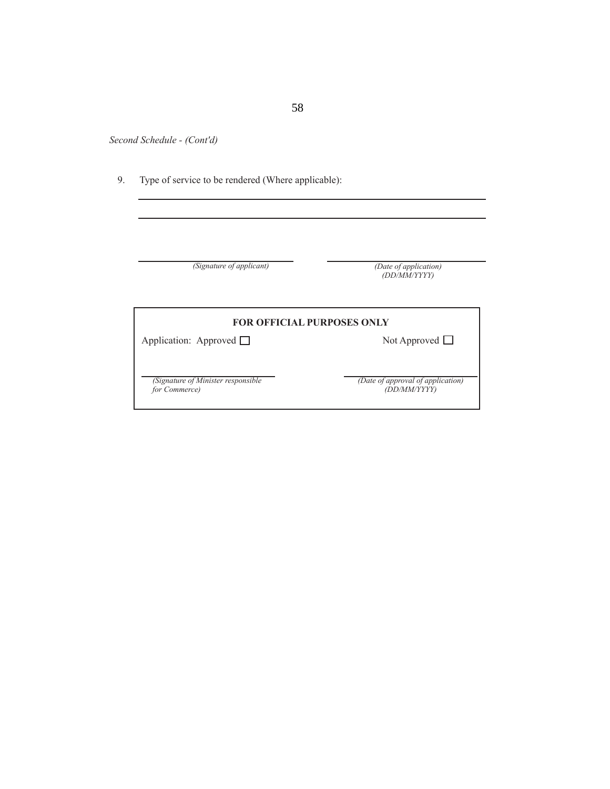9. Type of service to be rendered (Where applicable):

| (Signature of applicant)          | (Date of application)<br>(DD/MM/YYYY) |
|-----------------------------------|---------------------------------------|
| <b>FOR OFFICIAL PURPOSES ONLY</b> |                                       |
| Application: Approved $\Box$      | Not Approved $\Box$                   |
|                                   |                                       |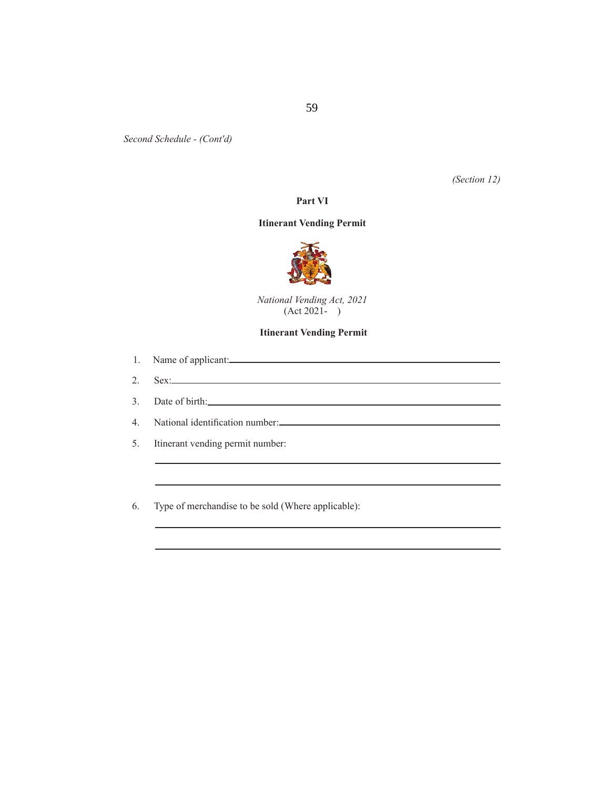*(Section 12)*

 $\overline{\phantom{a}}$ 

#### **Part VI**

#### **Itinerant Vending Permit**



*National Vending Act, 2021*   $(Act 2021 - )$ 

#### **Itinerant Vending Permit**

|    | 1. Name of applicant: |
|----|-----------------------|
|    |                       |
| 2. | $S_{\rm PV}$          |

3. Date of birth:

4. National identification number:

5. Itinerant vending permit number:

6. Type of merchandise to be sold (Where applicable):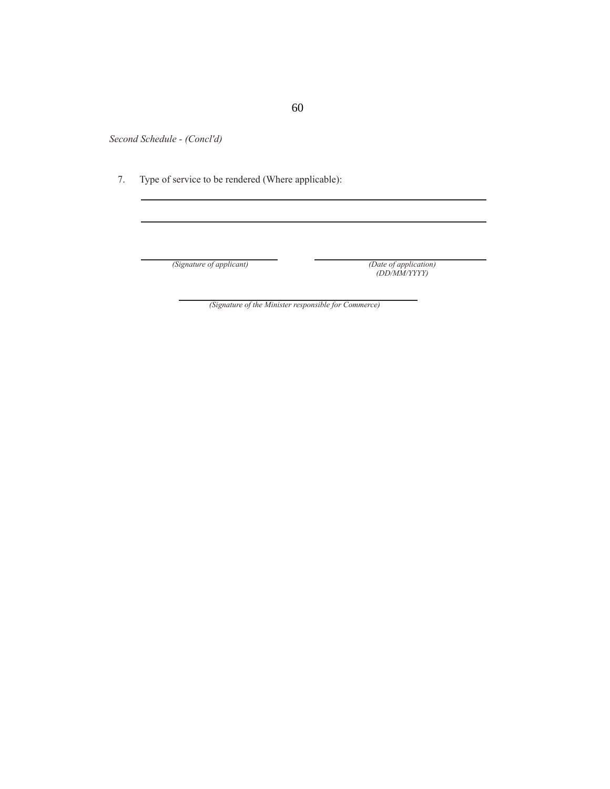7. Type of service to be rendered (Where applicable):

*(Signature of applicant)* 

*(Date of application)*<br>*(DD/MM/YYYY)* 

*(Signature of the Minister responsible for Commerce)*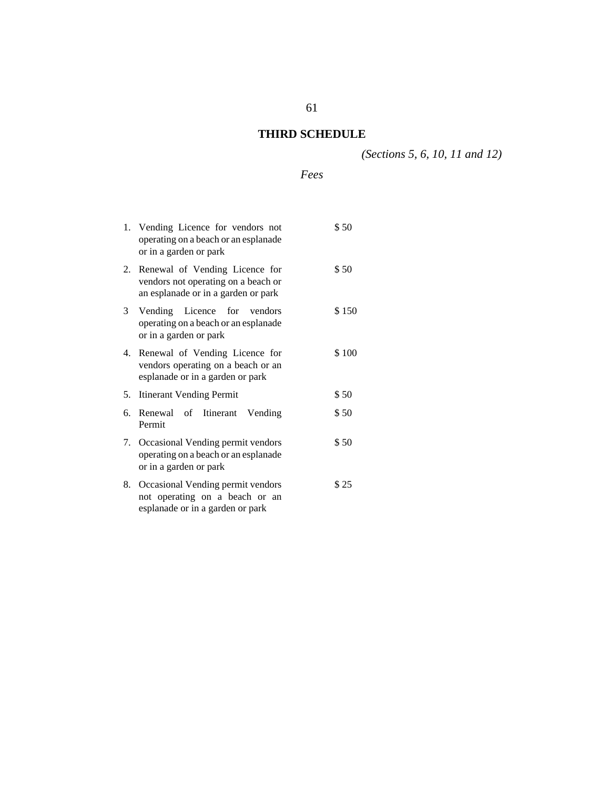# **THIRD SCHEDULE**

*(Sections 5, 6, 10, 11 and 12)*

# *Fees*

|    | 1. Vending Licence for vendors not<br>operating on a beach or an esplanade<br>or in a garden or park            | \$50  |
|----|-----------------------------------------------------------------------------------------------------------------|-------|
|    | 2. Renewal of Vending Licence for<br>vendors not operating on a beach or<br>an esplanade or in a garden or park | \$50  |
|    | 3 Vending Licence for vendors<br>operating on a beach or an esplanade<br>or in a garden or park                 | \$150 |
|    | 4. Renewal of Vending Licence for<br>vendors operating on a beach or an<br>esplanade or in a garden or park     | \$100 |
| 5. | <b>Itinerant Vending Permit</b>                                                                                 | \$50  |
| 6. | Renewal of Itinerant Vending<br>Permit                                                                          | \$50  |
|    | 7. Occasional Vending permit vendors<br>operating on a beach or an esplanade<br>or in a garden or park          | \$50  |
|    | 8. Occasional Vending permit vendors                                                                            | \$25  |

8. Occasional Vending permit vendors not operating on a beach or an esplanade or in a garden or park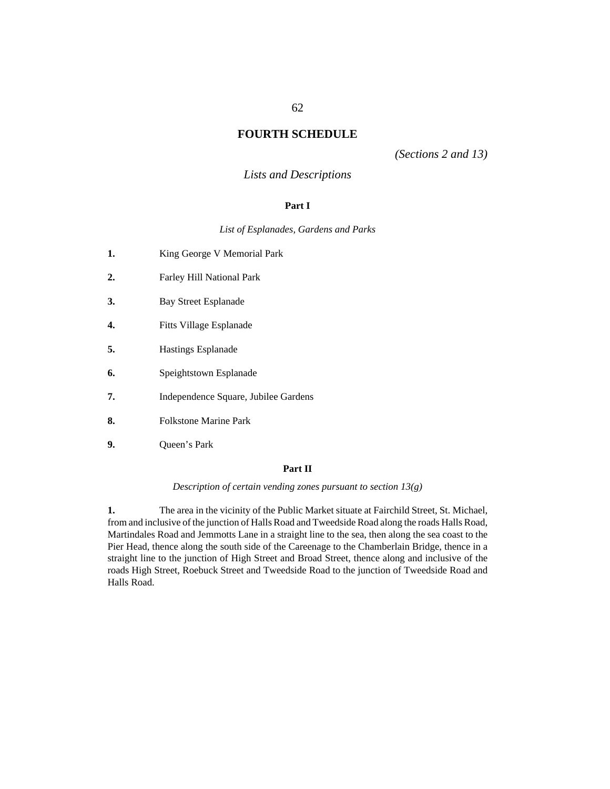# **FOURTH SCHEDULE**

*(Sections 2 and 13)*

# *Lists and Descriptions*

### **Part I**

*List of Esplanades, Gardens and Parks*

| 1. | King George V Memorial Park          |
|----|--------------------------------------|
| 2. | Farley Hill National Park            |
| 3. | Bay Street Esplanade                 |
| 4. | Fitts Village Esplanade              |
| 5. | Hastings Esplanade                   |
| 6. | Speightstown Esplanade               |
| 7. | Independence Square, Jubilee Gardens |
| 8. | <b>Folkstone Marine Park</b>         |
| 9. | Queen's Park                         |

### **Part II**

*Description of certain vending zones pursuant to section 13(g)*

The area in the vicinity of the Public Market situate at Fairchild Street, St. Michael, from and inclusive of the junction of Halls Road and Tweedside Road along the roads Halls Road, Martindales Road and Jemmotts Lane in a straight line to the sea, then along the sea coast to the Pier Head, thence along the south side of the Careenage to the Chamberlain Bridge, thence in a straight line to the junction of High Street and Broad Street, thence along and inclusive of the roads High Street, Roebuck Street and Tweedside Road to the junction of Tweedside Road and Halls Road. **1.**

#### 62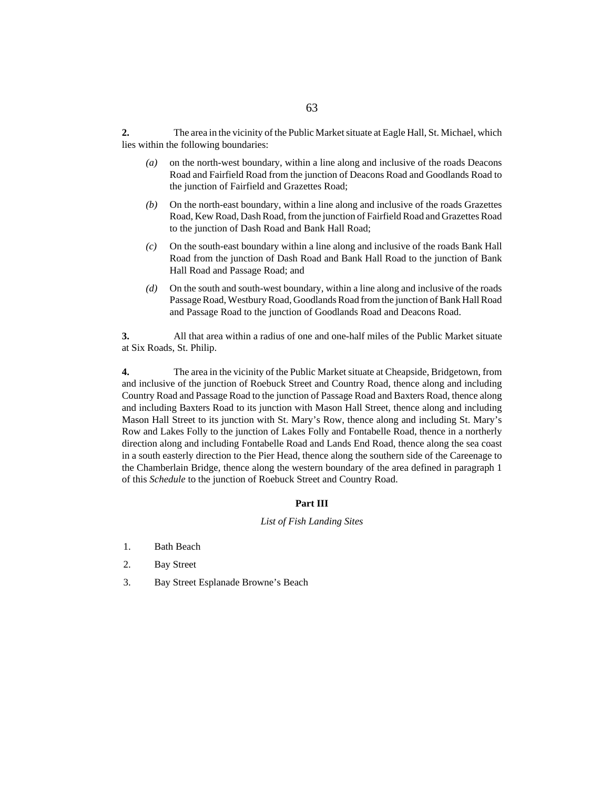The area in the vicinity of the Public Market situate at Eagle Hall, St. Michael, which lies within the following boundaries: **2.**

- on the north-west boundary, within a line along and inclusive of the roads Deacons Road and Fairfield Road from the junction of Deacons Road and Goodlands Road to the junction of Fairfield and Grazettes Road; *(a)*
- On the north-east boundary, within a line along and inclusive of the roads Grazettes Road, Kew Road, Dash Road, from the junction of Fairfield Road and Grazettes Road to the junction of Dash Road and Bank Hall Road; *(b)*
- On the south-east boundary within a line along and inclusive of the roads Bank Hall Road from the junction of Dash Road and Bank Hall Road to the junction of Bank Hall Road and Passage Road; and *(c)*
- On the south and south-west boundary, within a line along and inclusive of the roads Passage Road, Westbury Road, Goodlands Road from the junction of Bank Hall Road and Passage Road to the junction of Goodlands Road and Deacons Road. *(d)*

All that area within a radius of one and one-half miles of the Public Market situate at Six Roads, St. Philip. **3.**

The area in the vicinity of the Public Market situate at Cheapside, Bridgetown, from and inclusive of the junction of Roebuck Street and Country Road, thence along and including Country Road and Passage Road to the junction of Passage Road and Baxters Road, thence along and including Baxters Road to its junction with Mason Hall Street, thence along and including Mason Hall Street to its junction with St. Mary's Row, thence along and including St. Mary's Row and Lakes Folly to the junction of Lakes Folly and Fontabelle Road, thence in a northerly direction along and including Fontabelle Road and Lands End Road, thence along the sea coast in a south easterly direction to the Pier Head, thence along the southern side of the Careenage to the Chamberlain Bridge, thence along the western boundary of the area defined in paragraph 1 of this *Schedule* to the junction of Roebuck Street and Country Road. **4.**

#### **Part III**

#### *List of Fish Landing Sites*

- 1. Bath Beach
- 2. Bay Street
- 3. Bay Street Esplanade Browne's Beach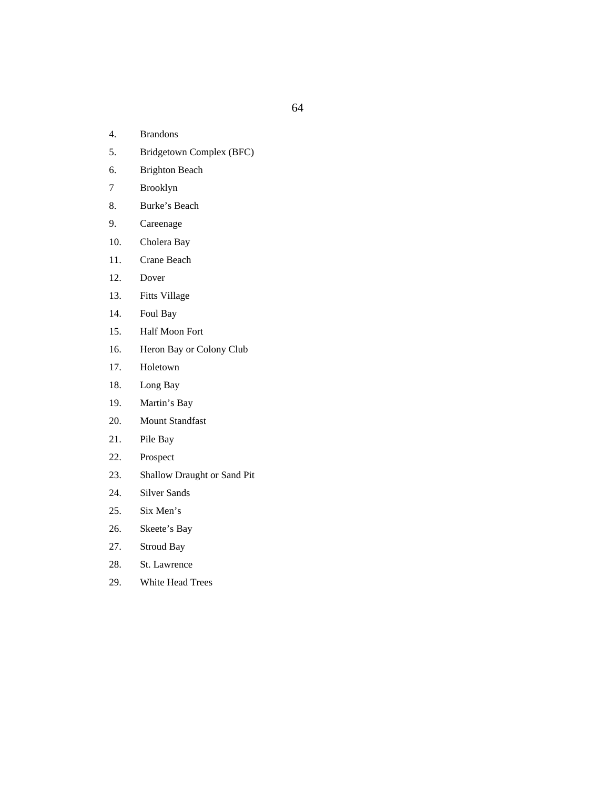- 4. Brandons
- 5. Bridgetown Complex (BFC)
- 6. Brighton Beach
- 7 Brooklyn
- 8. Burke's Beach
- 9. Careenage
- 10. Cholera Bay
- 11. Crane Beach
- 12. Dover
- 13. Fitts Village
- 14. Foul Bay
- 15. Half Moon Fort
- 16. Heron Bay or Colony Club
- 17. Holetown
- 18. Long Bay
- 19. Martin's Bay
- 20. Mount Standfast
- 21. Pile Bay
- 22. Prospect
- 23. Shallow Draught or Sand Pit
- 24. Silver Sands
- 25. Six Men's
- 26. Skeete's Bay
- 27. Stroud Bay
- 28. St. Lawrence
- 29. White Head Trees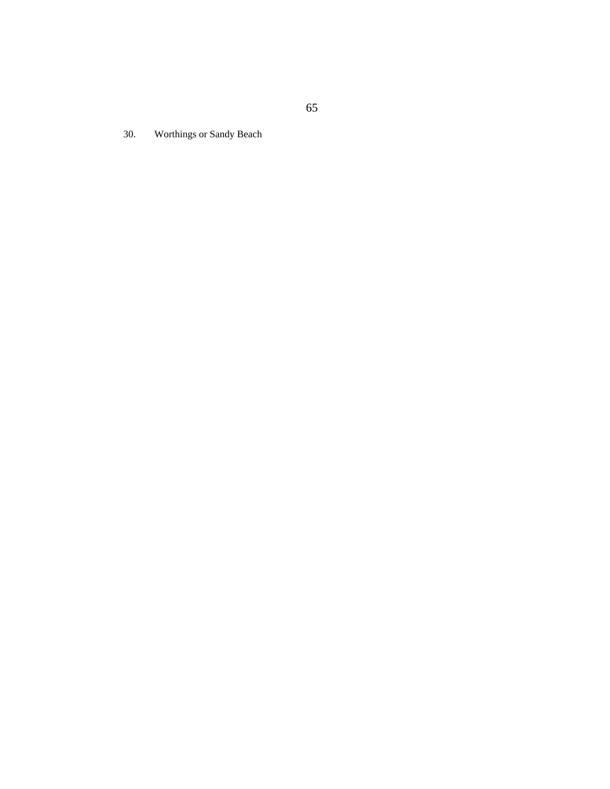30. Worthings or Sandy Beach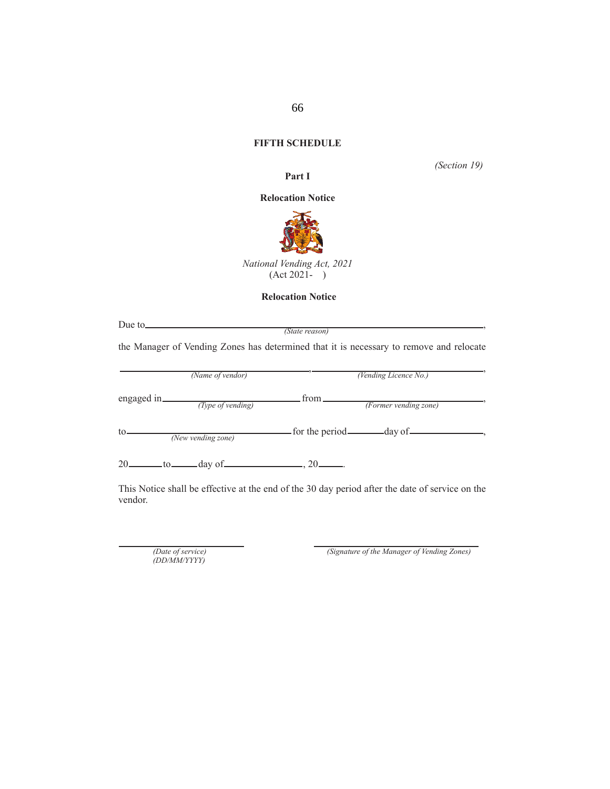# **FIFTH SCHEDULE**

*(Section 19)*

#### **Relocation Notice**

**Part I**



*National Vending Act, 2021*  (Act 2021- )

#### **Relocation Notice**

| Due to |  |
|--------|--|
|        |  |

*(State reason)*

the Manager of Vending Zones has determined that it is necessary to remove and relocate

|              | (Name of vendor)   |       | (Vending Licence No.)              |  |
|--------------|--------------------|-------|------------------------------------|--|
| engaged in.  | (Type of vending)  | from. | (Former vending zone)              |  |
| to           | (New vending zone) |       | for the period <u>equal</u> day of |  |
| 20.<br>.to _ | — day of —         | $20-$ |                                    |  |

This Notice shall be effective at the end of the 30 day period after the date of service on the vendor.

*(Date of service) (DD/MM/YYYY)*

*(Signature of the Manager of Vending Zones)*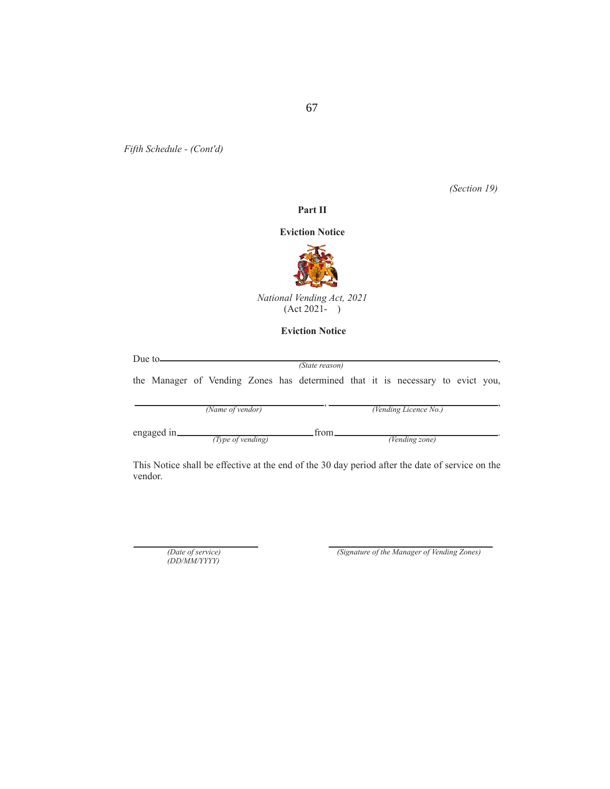*(Section 19)*

# **Part II**

#### **Eviction Notice**



*National Vending Act, 2021*   $(Act 2021 - )$ 

### **Eviction Notice**

| Due to $\frac{1}{\sqrt{1-\frac{1}{2}}\sqrt{1-\frac{1}{2}}\sqrt{1-\frac{1}{2}}\sqrt{1-\frac{1}{2}}\sqrt{1-\frac{1}{2}}\sqrt{1-\frac{1}{2}}\sqrt{1-\frac{1}{2}}\sqrt{1-\frac{1}{2}}\sqrt{1-\frac{1}{2}}\sqrt{1-\frac{1}{2}}\sqrt{1-\frac{1}{2}}\sqrt{1-\frac{1}{2}}\sqrt{1-\frac{1}{2}}\sqrt{1-\frac{1}{2}}\sqrt{1-\frac{1}{2}}\sqrt{1-\frac{1}{2}}\sqrt{1-\frac{1}{2}}\sqrt{1-\frac{1}{2}}\sqrt{1-\frac{1}{2$ |                   |  |                                                                                |  |                       |  |  |
|--------------------------------------------------------------------------------------------------------------------------------------------------------------------------------------------------------------------------------------------------------------------------------------------------------------------------------------------------------------------------------------------------------------|-------------------|--|--------------------------------------------------------------------------------|--|-----------------------|--|--|
|                                                                                                                                                                                                                                                                                                                                                                                                              |                   |  | (State reason)                                                                 |  |                       |  |  |
|                                                                                                                                                                                                                                                                                                                                                                                                              |                   |  | the Manager of Vending Zones has determined that it is necessary to evict you, |  |                       |  |  |
|                                                                                                                                                                                                                                                                                                                                                                                                              | (Name of vendor)  |  |                                                                                |  | (Vending Licence No.) |  |  |
| engaged in_                                                                                                                                                                                                                                                                                                                                                                                                  | (Type of vending) |  | from                                                                           |  | (Vending zone)        |  |  |

This Notice shall be effective at the end of the 30 day period after the date of service on the vendor.

*(Date of service) (DD/MM/YYYY)*

*(Signature of the Manager of Vending Zones)*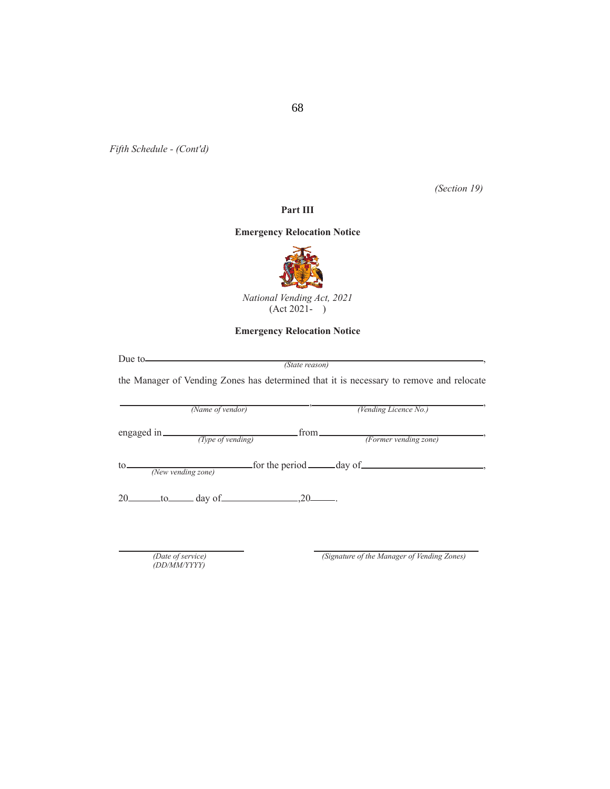*(Section 19)*

# **Part III**

# **Emergency Relocation Notice**



*National Vending Act, 2021*  (Act 2021- )

# **Emergency Relocation Notice**

|     | Due to                                                                                    | (State reason)   | the Manager of Vending Zones has determined that it is necessary to remove and relocate |
|-----|-------------------------------------------------------------------------------------------|------------------|-----------------------------------------------------------------------------------------|
|     | (Name of vendor)                                                                          |                  | (Vending Licence No.)                                                                   |
|     | engaged in <i>(Type of vending)</i>                                                       | <u>from real</u> | (Former vending zone)                                                                   |
| to_ | (New vending zone)                                                                        |                  | for the period <u>each</u> day of                                                       |
|     | 20 $\qquad \qquad \text{to} \qquad \qquad \text{day of} \qquad \qquad 20 \qquad \qquad .$ |                  |                                                                                         |
|     |                                                                                           |                  |                                                                                         |
|     | (Date of service)<br>(DD/MM/YYYY)                                                         |                  | (Signature of the Manager of Vending Zones)                                             |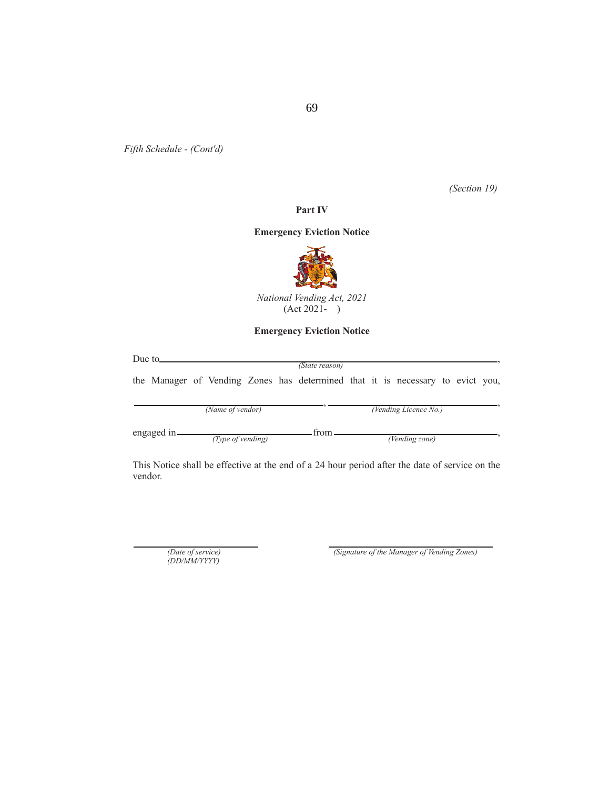*(Section 19)*

# **Part IV**

## **Emergency Eviction Notice**



*National Vending Act, 2021*   $(Act 2021 - )$ 

## **Emergency Eviction Notice**

| Due to $\Box$ |             |                   |  |                                                                                |  |                              |  |  |
|---------------|-------------|-------------------|--|--------------------------------------------------------------------------------|--|------------------------------|--|--|
|               |             |                   |  | (State reason)                                                                 |  |                              |  |  |
|               |             |                   |  | the Manager of Vending Zones has determined that it is necessary to evict you, |  |                              |  |  |
|               |             | (Name of vendor)  |  |                                                                                |  | (Vending Licence No.)        |  |  |
|               | engaged in_ | (Type of vending) |  | from                                                                           |  | $\overline{(V}$ ending zone) |  |  |

This Notice shall be effective at the end of a 24 hour period after the date of service on the vendor.

*(Date of service) (DD/MM/YYYY)*

*(Signature of the Manager of Vending Zones)*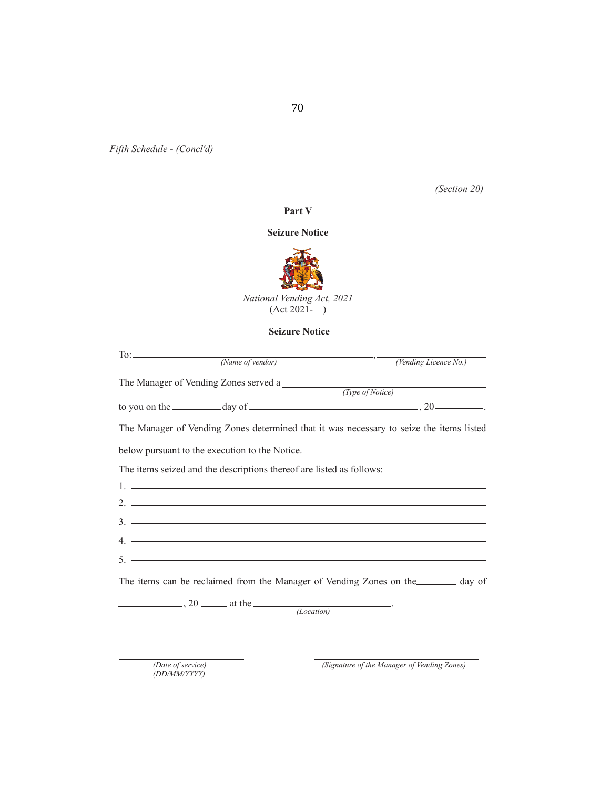*Fifth Schedule - (Concl'd)*

*(Section 20)*

### **Part V**

## **Seizure Notice**



## **Seizure Notice**

| (Name of vendor)                                                                                                                                                                                                                                                                                                       | (Vending Licence No.) |
|------------------------------------------------------------------------------------------------------------------------------------------------------------------------------------------------------------------------------------------------------------------------------------------------------------------------|-----------------------|
| The Manager of Vending Zones served a                                                                                                                                                                                                                                                                                  |                       |
|                                                                                                                                                                                                                                                                                                                        | (Type of Notice)      |
| to you on the $\_\_\_\_\_\$ day of $\_\_\_\_\_\_\_\_\_\_\_\_$ . 20 $\_\_\_\_\_\_\_$ .                                                                                                                                                                                                                                  |                       |
| The Manager of Vending Zones determined that it was necessary to seize the items listed                                                                                                                                                                                                                                |                       |
| below pursuant to the execution to the Notice.                                                                                                                                                                                                                                                                         |                       |
| The items seized and the descriptions thereof are listed as follows:                                                                                                                                                                                                                                                   |                       |
| <u>1. Contract the contract of the contract of the contract of the contract of the contract of the contract of the contract of the contract of the contract of the contract of the contract of the contract of the contract of t</u>                                                                                   |                       |
| 2. $\frac{1}{2}$ $\frac{1}{2}$ $\frac{1}{2}$ $\frac{1}{2}$ $\frac{1}{2}$ $\frac{1}{2}$ $\frac{1}{2}$ $\frac{1}{2}$ $\frac{1}{2}$ $\frac{1}{2}$ $\frac{1}{2}$ $\frac{1}{2}$ $\frac{1}{2}$ $\frac{1}{2}$ $\frac{1}{2}$ $\frac{1}{2}$ $\frac{1}{2}$ $\frac{1}{2}$ $\frac{1}{2}$ $\frac{1}{2}$ $\frac{1}{2}$ $\frac{1}{2}$ |                       |
| $3.$ $\overline{\phantom{a}}$                                                                                                                                                                                                                                                                                          |                       |
| $4.$ $\frac{1}{2}$ $\frac{1}{2}$ $\frac{1}{2}$ $\frac{1}{2}$ $\frac{1}{2}$ $\frac{1}{2}$ $\frac{1}{2}$ $\frac{1}{2}$ $\frac{1}{2}$ $\frac{1}{2}$ $\frac{1}{2}$ $\frac{1}{2}$ $\frac{1}{2}$ $\frac{1}{2}$ $\frac{1}{2}$ $\frac{1}{2}$ $\frac{1}{2}$ $\frac{1}{2}$ $\frac{1}{2}$ $\frac{1}{2}$ $\frac{1}{2}$ $\frac{1}{$ |                       |
| $5.$ $-$                                                                                                                                                                                                                                                                                                               |                       |
| The items can be reclaimed from the Manager of Vending Zones on the day of                                                                                                                                                                                                                                             |                       |
| $\frac{1}{20}$ , 20 $\frac{1}{20}$ at the $\frac{1}{20}$                                                                                                                                                                                                                                                               |                       |
| (Location)                                                                                                                                                                                                                                                                                                             |                       |

*(Date of service) (DD/MM/YYYY)*

*(Signature of the Manager of Vending Zones)*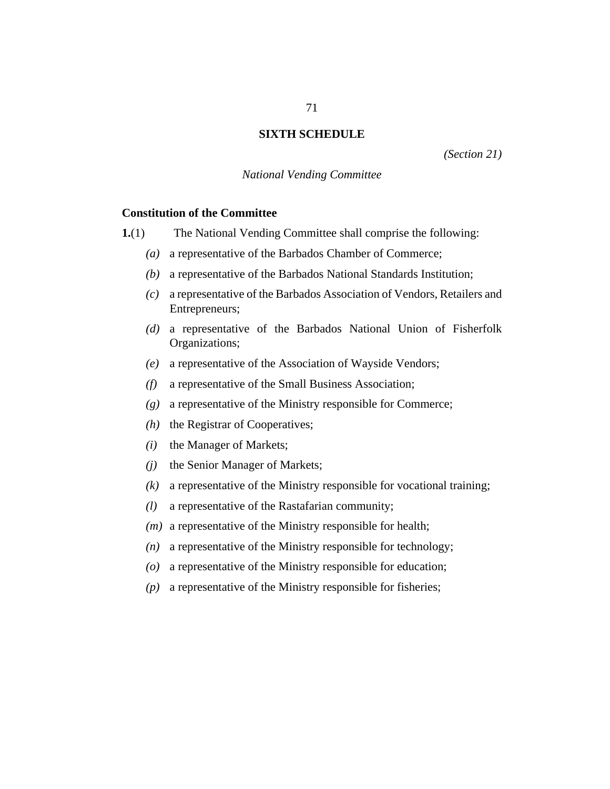# **SIXTH SCHEDULE**

*(Section 21)*

# *National Vending Committee*

# **Constitution of the Committee**

The National Vending Committee shall comprise the following: **1.**(1)

- a representative of the Barbados Chamber of Commerce; *(a)*
- a representative of the Barbados National Standards Institution; *(b)*
- a representative of the Barbados Association of Vendors, Retailers and *(c)* Entrepreneurs;
- a representative of the Barbados National Union of Fisherfolk *(d)* Organizations;
- a representative of the Association of Wayside Vendors; *(e)*
- a representative of the Small Business Association; *(f)*
- a representative of the Ministry responsible for Commerce; *(g)*
- the Registrar of Cooperatives; *(h)*
- the Manager of Markets; *(i)*
- the Senior Manager of Markets; *(j)*
- a representative of the Ministry responsible for vocational training; *(k)*
- a representative of the Rastafarian community; *(l)*
- (*m*) a representative of the Ministry responsible for health;
- a representative of the Ministry responsible for technology; *(n)*
- a representative of the Ministry responsible for education; *(o)*
- a representative of the Ministry responsible for fisheries; *(p)*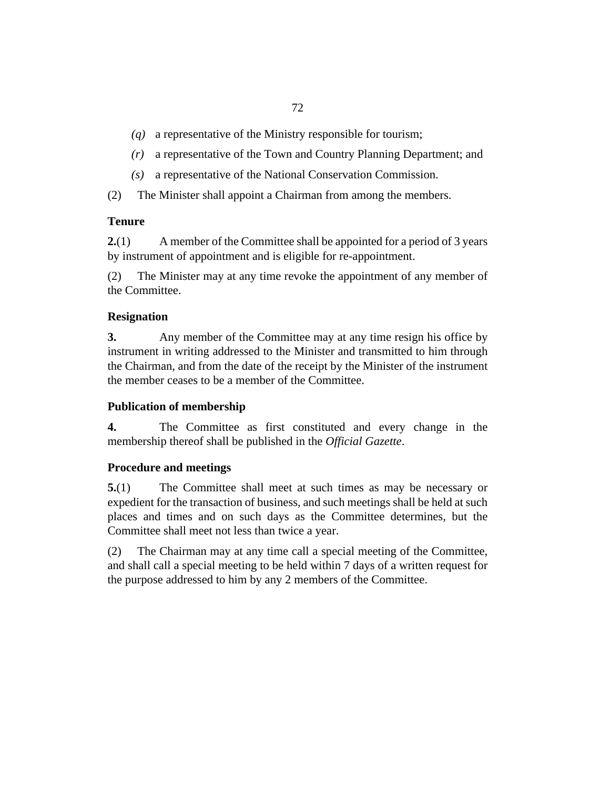- a representative of the Ministry responsible for tourism; *(q)*
- a representative of the Town and Country Planning Department; and *(r)*
- a representative of the National Conservation Commission. *(s)*
- The Minister shall appoint a Chairman from among the members. (2)

# **Tenure**

A member of the Committee shall be appointed for a period of 3 years by instrument of appointment and is eligible for re-appointment. **2.**(1)

The Minister may at any time revoke the appointment of any member of the Committee. (2)

# **Resignation**

Any member of the Committee may at any time resign his office by instrument in writing addressed to the Minister and transmitted to him through the Chairman, and from the date of the receipt by the Minister of the instrument the member ceases to be a member of the Committee. **3.**

# **Publication of membership**

The Committee as first constituted and every change in the membership thereof shall be published in the *Official Gazette*. **4.**

# **Procedure and meetings**

The Committee shall meet at such times as may be necessary or expedient for the transaction of business, and such meetings shall be held at such places and times and on such days as the Committee determines, but the Committee shall meet not less than twice a year. **5.**(1)

The Chairman may at any time call a special meeting of the Committee, and shall call a special meeting to be held within 7 days of a written request for the purpose addressed to him by any 2 members of the Committee. (2)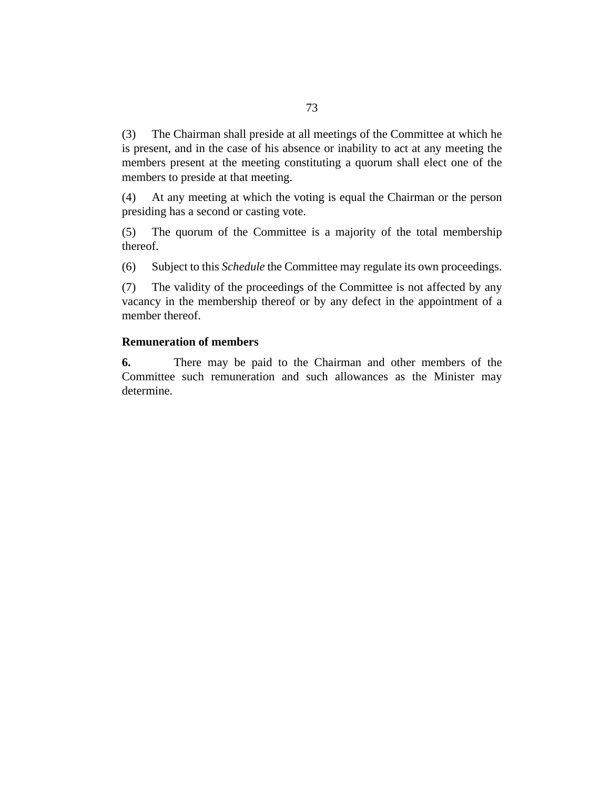The Chairman shall preside at all meetings of the Committee at which he is present, and in the case of his absence or inability to act at any meeting the members present at the meeting constituting a quorum shall elect one of the members to preside at that meeting. (3)

At any meeting at which the voting is equal the Chairman or the person presiding has a second or casting vote. (4)

The quorum of the Committee is a majority of the total membership thereof. (5)

Subject to this *Schedule* the Committee may regulate its own proceedings. (6)

The validity of the proceedings of the Committee is not affected by any vacancy in the membership thereof or by any defect in the appointment of a member thereof. (7)

## **Remuneration of members**

There may be paid to the Chairman and other members of the Committee such remuneration and such allowances as the Minister may determine. **6.**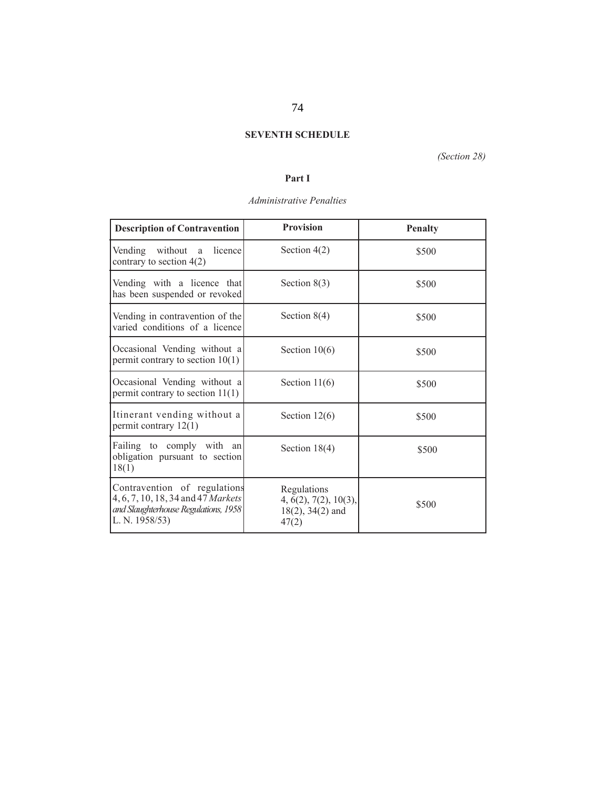## **SEVENTH SCHEDULE**

*(Section 28)*

## **Part I**

## *Administrative Penalties*

| <b>Description of Contravention</b>                                                                                          | <b>Provision</b>                                                       | <b>Penalty</b> |
|------------------------------------------------------------------------------------------------------------------------------|------------------------------------------------------------------------|----------------|
| Vending without a<br>licence<br>contrary to section $4(2)$                                                                   | Section $4(2)$                                                         | \$500          |
| Vending with a licence that<br>has been suspended or revoked                                                                 | Section $8(3)$                                                         | \$500          |
| Vending in contravention of the<br>varied conditions of a licence                                                            | Section $8(4)$                                                         | \$500          |
| Occasional Vending without a<br>permit contrary to section $10(1)$                                                           | Section $10(6)$                                                        | \$500          |
| Occasional Vending without a<br>permit contrary to section $11(1)$                                                           | Section $11(6)$                                                        | \$500          |
| Itinerant vending without a<br>permit contrary $12(1)$                                                                       | Section $12(6)$                                                        | \$500          |
| Failing to comply with an<br>obligation pursuant to section<br>18(1)                                                         | Section $18(4)$                                                        | \$500          |
| Contravention of regulations<br>4, 6, 7, 10, 18, 34 and 47 Markets<br>and Slaughterhouse Regulations, 1958<br>L. N. 1958/53) | Regulations<br>4, 6(2), 7(2), 10(3),<br>$18(2)$ , $34(2)$ and<br>47(2) | \$500          |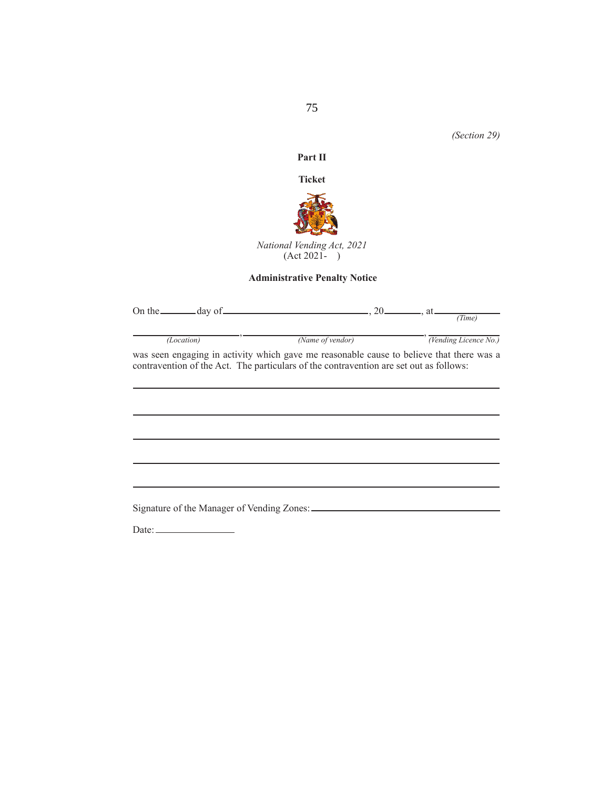*(Section 29)*

## **Part II**

**Ticket**



*National Vending Act, 2021* (Act 2021- )

# **Administrative Penalty Notice**

|            | On the $\_\_$ day of $\_\_$ , 20, $\_\_$ , at $\_\_$ ( <i>Time</i> )                                                                                                               |                                                        |
|------------|------------------------------------------------------------------------------------------------------------------------------------------------------------------------------------|--------------------------------------------------------|
| (Location) |                                                                                                                                                                                    | (Name of vendor) $\overline{(Vending \: License No.)}$ |
|            | was seen engaging in activity which gave me reasonable cause to believe that there was a<br>contravention of the Act. The particulars of the contravention are set out as follows: |                                                        |
|            |                                                                                                                                                                                    |                                                        |
|            |                                                                                                                                                                                    |                                                        |
|            |                                                                                                                                                                                    |                                                        |
|            |                                                                                                                                                                                    |                                                        |
|            |                                                                                                                                                                                    |                                                        |
|            |                                                                                                                                                                                    |                                                        |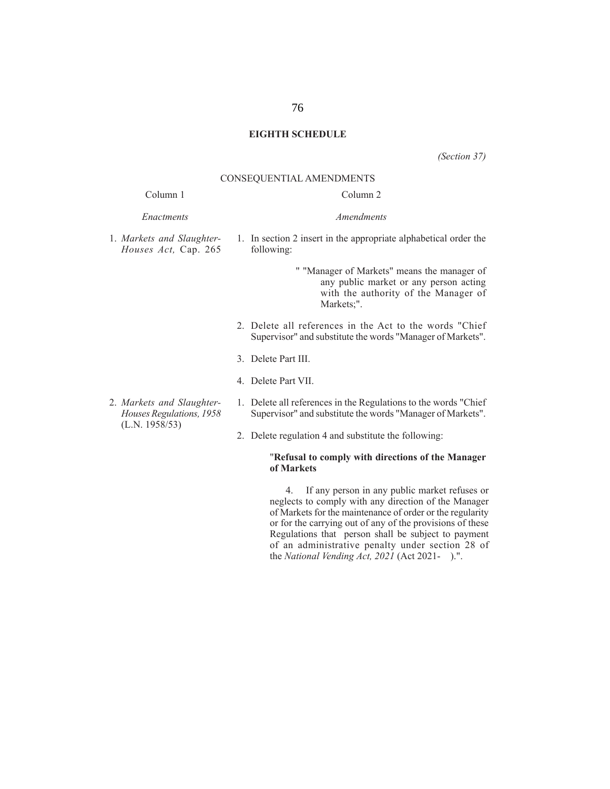## **EIGHTH SCHEDULE**

*(Section 37)*

### CONSEQUENTIAL AMENDMENTS

## Column 1

| Enactments | Amendments |
|------------|------------|
|------------|------------|

- 1. *Markets and Slaughter-Houses Act,* Cap. 265
- 1. In section 2 insert in the appropriate alphabetical order the following:

Column 2

- " "Manager of Markets" means the manager of any public market or any person acting with the authority of the Manager of Markets;".
- 2. Delete all references in the Act to the words "Chief Supervisor" and substitute the words "Manager of Markets".
- 3. Delete Part III.
- 4. Delete Part VII.
- 2. *Markets and Slaughter-Houses Regulations, 1958* (L.N. 1958/53) 1. Delete all references in the Regulations to the words "Chief
	- Supervisor" and substitute the words "Manager of Markets".
	- 2. Delete regulation 4 and substitute the following:

### "**Refusal to comply with directions of the Manager of Markets**

4. If any person in any public market refuses or neglects to comply with any direction of the Manager of Markets for the maintenance of order or the regularity or for the carrying out of any of the provisions of these Regulations that person shall be subject to payment of an administrative penalty under section 28 of the *National Vending Act, 2021* (Act 2021- ).".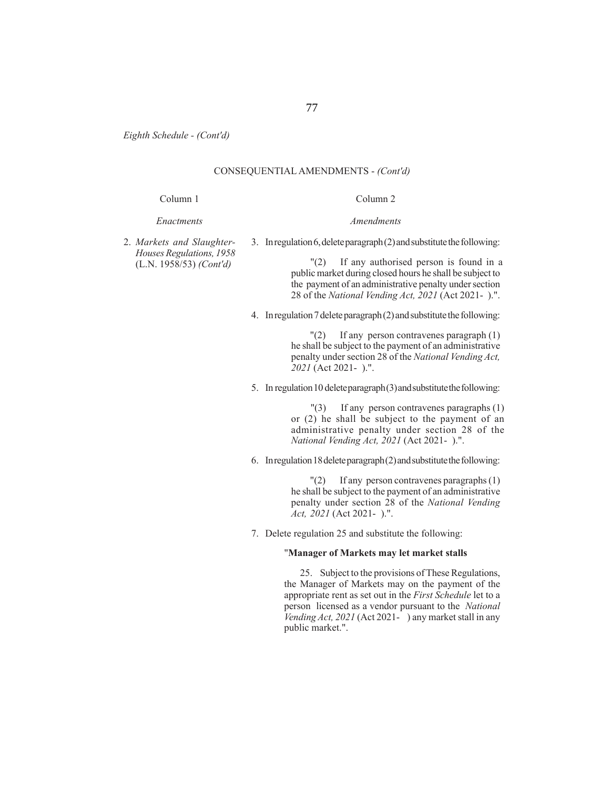*Eighth Schedule - (Cont'd)*

## CONSEQUENTIAL AMENDMENTS - *(Cont'd)*

#### Column 1

#### *Enactments*

Column 2 *Amendments*

2. *Markets and Slaughter-Houses Regulations, 1958* (L.N. 1958/53) *(Cont'd)*

3. In regulation 6, delete paragraph (2) and substitute the following:

"(2) If any authorised person is found in a public market during closed hours he shall be subject to the payment of an administrative penalty under section 28 of the *National Vending Act, 2021* (Act 2021- ).".

4. In regulation 7 delete paragraph (2) and substitute the following:

 $\Gamma(2)$  If any person contravenes paragraph (1) he shall be subject to the payment of an administrative penalty under section 28 of the *National Vending Act, 2021* (Act 2021- ).".

5. In regulation 10 delete paragraph (3) and substitute the following:

"(3) If any person contravenes paragraphs (1) or (2) he shall be subject to the payment of an administrative penalty under section 28 of the *National Vending Act, 2021* (Act 2021- ).".

6. In regulation 18 delete paragraph (2) and substitute the following:

 $\Gamma(2)$  If any person contravenes paragraphs (1) he shall be subject to the payment of an administrative penalty under section 28 of the *National Vending Act, 2021* (Act 2021- ).".

7. Delete regulation 25 and substitute the following:

## "**Manager of Markets may let market stalls**

25. Subject to the provisions of These Regulations, the Manager of Markets may on the payment of the appropriate rent as set out in the *First Schedule* let to a person licensed as a vendor pursuant to the *National Vending Act, 2021* (Act 2021- ) any market stall in any public market.".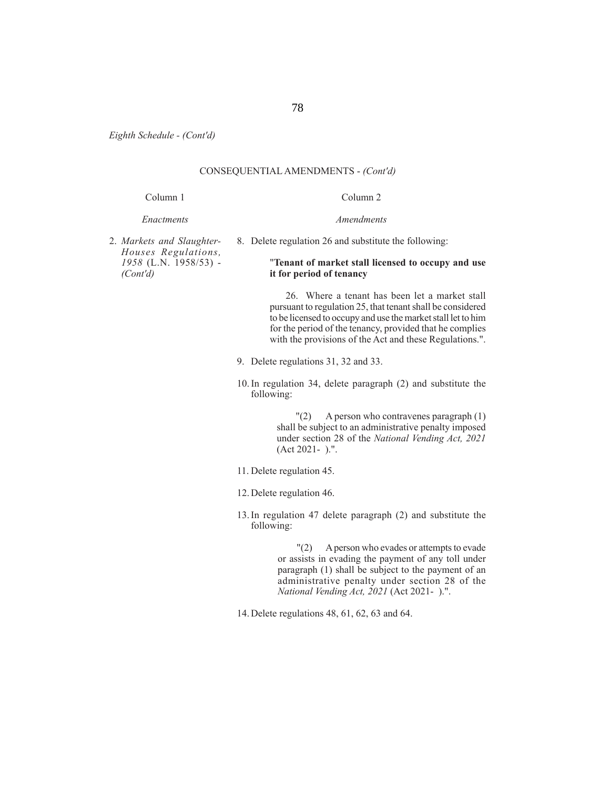*Eighth Schedule - (Cont'd)*

## CONSEQUENTIAL AMENDMENTS - *(Cont'd)*

#### Column 1 Column 2

### *Enactments*

8. Delete regulation 26 and substitute the following:

2. *Markets and Slaughter-Houses Regulations, 1958* (L.N. 1958/53) - *(Cont'd)*

### "**Tenant of market stall licensed to occupy and use it for period of tenancy**

*Amendments*

 26. Where a tenant has been let a market stall pursuant to regulation 25, that tenant shall be considered to be licensed to occupy and use the market stall let to him for the period of the tenancy, provided that he complies with the provisions of the Act and these Regulations.".

- 9. Delete regulations 31, 32 and 33.
- 10. In regulation 34, delete paragraph (2) and substitute the following:

 "(2) A person who contravenes paragraph (1) shall be subject to an administrative penalty imposed under section 28 of the *National Vending Act, 2021* (Act 2021- ).".

- 11. Delete regulation 45.
- 12. Delete regulation 46.
- 13. In regulation 47 delete paragraph (2) and substitute the following:

 "(2) A person who evades or attempts to evade or assists in evading the payment of any toll under paragraph (1) shall be subject to the payment of an administrative penalty under section 28 of the *National Vending Act, 2021* (Act 2021- ).".

14. Delete regulations 48, 61, 62, 63 and 64.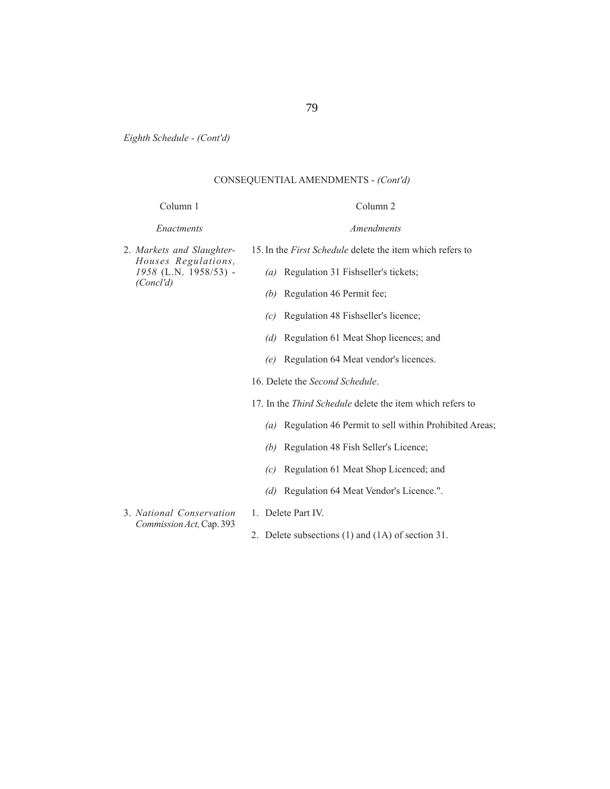*Eighth Schedule - (Cont'd)*

## CONSEQUENTIAL AMENDMENTS - *(Cont'd)*

### Column 1

#### *Enactments*

2. *Markets and Slaughter- Houses Regulations, 1958* (L.N. 1958/53) - *(Concl'd)*

15. In the *First Schedule* delete the item which refers to

- *(a)* Regulation 31 Fishseller's tickets;
- *(b)* Regulation 46 Permit fee;
- *(c)* Regulation 48 Fishseller's licence;
- *(d)* Regulation 61 Meat Shop licences; and
- *(e)* Regulation 64 Meat vendor's licences.
- 16. Delete the *Second Schedule*.
- 17. In the *Third Schedule* delete the item which refers to
	- *(a)* Regulation 46 Permit to sell within Prohibited Areas;
	- *(b)* Regulation 48 Fish Seller's Licence;
	- *(c)* Regulation 61 Meat Shop Licenced; and
	- *(d)* Regulation 64 Meat Vendor's Licence.".
- 3. *National Conservation Commission Act,* Cap. 393
- 1. Delete Part IV.
- 2. Delete subsections (1) and (1A) of section 31.

*Amendments*

Column 2